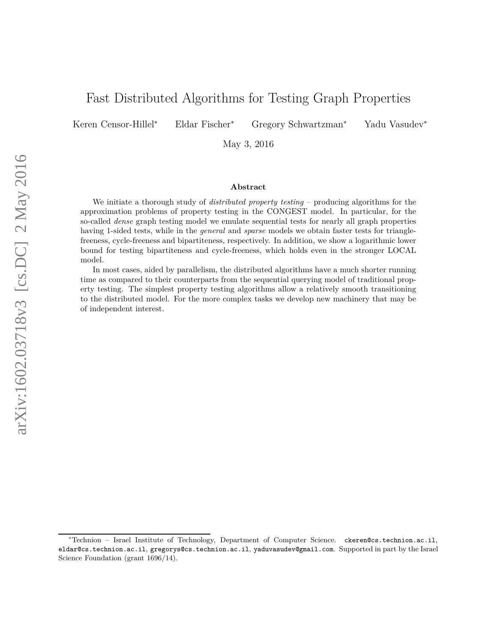# Fast Distributed Algorithms for Testing Graph Properties

Keren Censor-Hillel<sup>∗</sup> Eldar Fischer<sup>∗</sup> Gregory Schwartzman<sup>∗</sup> Yadu Vasudev<sup>∗</sup>

May 3, 2016

### **Abstract**

We initiate a thorough study of *distributed property testing* – producing algorithms for the approximation problems of property testing in the CONGEST model. In particular, for the so-called *dense* graph testing model we emulate sequential tests for nearly all graph properties having 1-sided tests, while in the *general* and *sparse* models we obtain faster tests for trianglefreeness, cycle-freeness and bipartiteness, respectively. In addition, we show a logarithmic lower bound for testing bipartiteness and cycle-freeness, which holds even in the stronger LOCAL model.

In most cases, aided by parallelism, the distributed algorithms have a much shorter running time as compared to their counterparts from the sequential querying model of traditional property testing. The simplest property testing algorithms allow a relatively smooth transitioning to the distributed model. For the more complex tasks we develop new machinery that may be of independent interest.

<sup>∗</sup>Technion – Israel Institute of Technology, Department of Computer Science. ckeren@cs.technion.ac.il, eldar@cs.technion.ac.il, gregorys@cs.technion.ac.il, yaduvasudev@gmail.com. Supported in part by the Israel Science Foundation (grant 1696/14).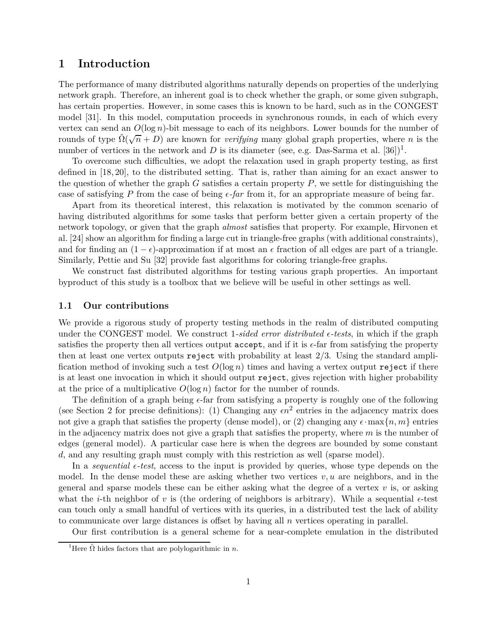# **1 Introduction**

The performance of many distributed algorithms naturally depends on properties of the underlying network graph. Therefore, an inherent goal is to check whether the graph, or some given subgraph, has certain properties. However, in some cases this is known to be hard, such as in the CONGEST model [31]. In this model, computation proceeds in synchronous rounds, in each of which every vertex can send an  $O(\log n)$ -bit message to each of its neighbors. Lower bounds for the number of rounds of type  $\tilde{\Omega}(\sqrt{n} + D)$  are known for *verifying* many global graph properties, where *n* is the number of vertices in the network and  $D$  is its diameter (see, e.g. Das-Sarma et al.  $[36]$ <sup>1</sup>.

To overcome such difficulties, we adopt the relaxation used in graph property testing, as first defined in [18, 20], to the distributed setting. That is, rather than aiming for an exact answer to the question of whether the graph *G* satisfies a certain property *P*, we settle for distinguishing the case of satisfying *P* from the case of being  $\epsilon$ -far from it, for an appropriate measure of being far.

Apart from its theoretical interest, this relaxation is motivated by the common scenario of having distributed algorithms for some tasks that perform better given a certain property of the network topology, or given that the graph *almost* satisfies that property. For example, Hirvonen et al. [24] show an algorithm for finding a large cut in triangle-free graphs (with additional constraints), and for finding an  $(1 - \epsilon)$ -approximation if at most an  $\epsilon$  fraction of all edges are part of a triangle. Similarly, Pettie and Su [32] provide fast algorithms for coloring triangle-free graphs.

We construct fast distributed algorithms for testing various graph properties. An important byproduct of this study is a toolbox that we believe will be useful in other settings as well.

### **1.1 Our contributions**

We provide a rigorous study of property testing methods in the realm of distributed computing under the CONGEST model. We construct 1*-sided error distributed*  $\epsilon$ -tests, in which if the graph satisfies the property then all vertices output accept, and if it is  $\epsilon$ -far from satisfying the property then at least one vertex outputs reject with probability at least 2*/*3. Using the standard amplification method of invoking such a test  $O(\log n)$  times and having a vertex output reject if there is at least one invocation in which it should output reject, gives rejection with higher probability at the price of a multiplicative  $O(\log n)$  factor for the number of rounds.

The definition of a graph being  $\epsilon$ -far from satisfying a property is roughly one of the following (see Section 2 for precise definitions): (1) Changing any  $\epsilon n^2$  entries in the adjacency matrix does not give a graph that satisfies the property (dense model), or (2) changing any  $\epsilon \cdot \max\{n, m\}$  entries in the adjacency matrix does not give a graph that satisfies the property, where *m* is the number of edges (general model). A particular case here is when the degrees are bounded by some constant *d*, and any resulting graph must comply with this restriction as well (sparse model).

In a *sequential*  $\epsilon$ -test, access to the input is provided by queries, whose type depends on the model. In the dense model these are asking whether two vertices  $v, u$  are neighbors, and in the general and sparse models these can be either asking what the degree of a vertex *v* is, or asking what the *i*-th neighbor of *v* is (the ordering of neighbors is arbitrary). While a sequential  $\epsilon$ -test can touch only a small handful of vertices with its queries, in a distributed test the lack of ability to communicate over large distances is offset by having all *n* vertices operating in parallel.

Our first contribution is a general scheme for a near-complete emulation in the distributed

<sup>&</sup>lt;sup>1</sup>Here  $\tilde{\Omega}$  hides factors that are polylogarithmic in *n*.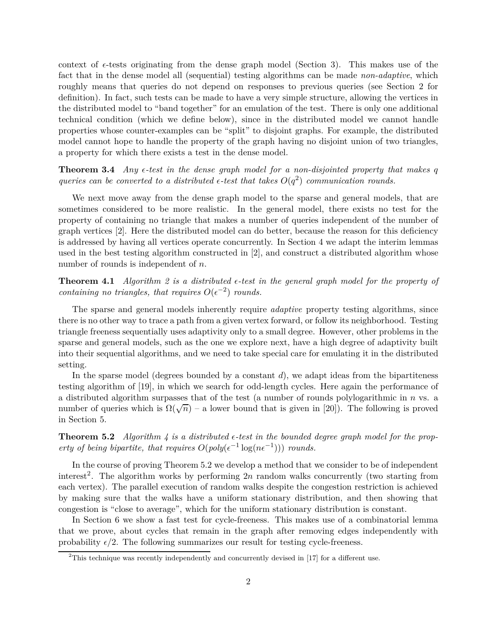context of  $\epsilon$ -tests originating from the dense graph model (Section 3). This makes use of the fact that in the dense model all (sequential) testing algorithms can be made *non-adaptive*, which roughly means that queries do not depend on responses to previous queries (see Section 2 for definition). In fact, such tests can be made to have a very simple structure, allowing the vertices in the distributed model to "band together" for an emulation of the test. There is only one additional technical condition (which we define below), since in the distributed model we cannot handle properties whose counter-examples can be "split" to disjoint graphs. For example, the distributed model cannot hope to handle the property of the graph having no disjoint union of two triangles, a property for which there exists a test in the dense model.

**Theorem 3.4** *Any*  $\epsilon$ -test in the dense graph model for a non-disjointed property that makes q *queries can be converted to a distributed*  $\epsilon$ -test that takes  $O(q^2)$  communication rounds.

We next move away from the dense graph model to the sparse and general models, that are sometimes considered to be more realistic. In the general model, there exists no test for the property of containing no triangle that makes a number of queries independent of the number of graph vertices [2]. Here the distributed model can do better, because the reason for this deficiency is addressed by having all vertices operate concurrently. In Section 4 we adapt the interim lemmas used in the best testing algorithm constructed in [2], and construct a distributed algorithm whose number of rounds is independent of *n*.

**Theorem 4.1** *Algorithm 2 is a distributed*  $\epsilon$ -test in the general graph model for the property of *containing no triangles, that requires*  $O(\epsilon^{-2})$  *rounds.* 

The sparse and general models inherently require *adaptive* property testing algorithms, since there is no other way to trace a path from a given vertex forward, or follow its neighborhood. Testing triangle freeness sequentially uses adaptivity only to a small degree. However, other problems in the sparse and general models, such as the one we explore next, have a high degree of adaptivity built into their sequential algorithms, and we need to take special care for emulating it in the distributed setting.

In the sparse model (degrees bounded by a constant *d*), we adapt ideas from the bipartiteness testing algorithm of [19], in which we search for odd-length cycles. Here again the performance of a distributed algorithm surpasses that of the test (a number of rounds polylogarithmic in *n* vs. a number of queries which is  $\Omega(\sqrt{n})$  – a lower bound that is given in [20]). The following is proved in Section 5.

**Theorem 5.2** *Algorithm 4 is a distributed*  $\epsilon$ -test in the bounded degree graph model for the prop*erty of being bipartite, that requires*  $O(\text{poly}(\epsilon^{-1}\log(n\epsilon^{-1})))$  *rounds.* 

In the course of proving Theorem 5.2 we develop a method that we consider to be of independent interest<sup>2</sup>. The algorithm works by performing 2n random walks concurrently (two starting from each vertex). The parallel execution of random walks despite the congestion restriction is achieved by making sure that the walks have a uniform stationary distribution, and then showing that congestion is "close to average", which for the uniform stationary distribution is constant.

In Section 6 we show a fast test for cycle-freeness. This makes use of a combinatorial lemma that we prove, about cycles that remain in the graph after removing edges independently with probability  $\epsilon/2$ . The following summarizes our result for testing cycle-freeness.

<sup>&</sup>lt;sup>2</sup>This technique was recently independently and concurrently devised in [17] for a different use.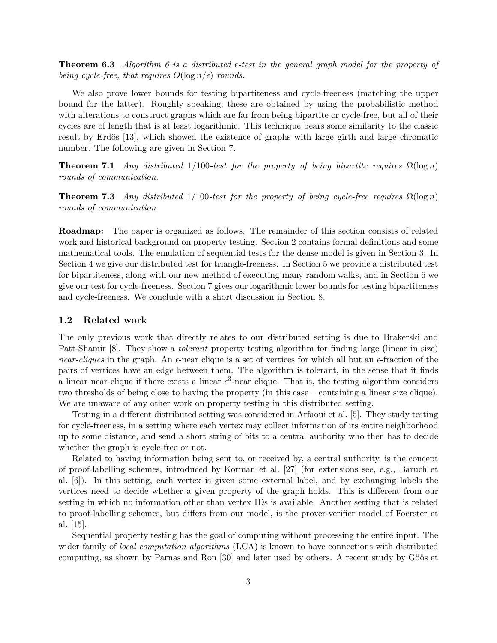**Theorem 6.3** *Algorithm 6 is a distributed*  $\epsilon$ -test in the general graph model for the property of *being cycle-free, that requires*  $O(\log n/\epsilon)$  *rounds.* 

We also prove lower bounds for testing bipartiteness and cycle-freeness (matching the upper bound for the latter). Roughly speaking, these are obtained by using the probabilistic method with alterations to construct graphs which are far from being bipartite or cycle-free, but all of their cycles are of length that is at least logarithmic. This technique bears some similarity to the classic result by Erdös [13], which showed the existence of graphs with large girth and large chromatic number. The following are given in Section 7.

**Theorem 7.1** *Any distributed* 1/100*-test for the property of being bipartite requires*  $\Omega(\log n)$ *rounds of communication.*

**Theorem 7.3** *Any distributed* 1/100*-test for the property of being cycle-free requires*  $\Omega(\log n)$ *rounds of communication.*

**Roadmap:** The paper is organized as follows. The remainder of this section consists of related work and historical background on property testing. Section 2 contains formal definitions and some mathematical tools. The emulation of sequential tests for the dense model is given in Section 3. In Section 4 we give our distributed test for triangle-freeness. In Section 5 we provide a distributed test for bipartiteness, along with our new method of executing many random walks, and in Section 6 we give our test for cycle-freeness. Section 7 gives our logarithmic lower bounds for testing bipartiteness and cycle-freeness. We conclude with a short discussion in Section 8.

### **1.2 Related work**

The only previous work that directly relates to our distributed setting is due to Brakerski and Patt-Shamir [8]. They show a *tolerant* property testing algorithm for finding large (linear in size) *near-cliques* in the graph. An *ǫ*-near clique is a set of vertices for which all but an *ǫ*-fraction of the pairs of vertices have an edge between them. The algorithm is tolerant, in the sense that it finds a linear near-clique if there exists a linear  $\epsilon^3$ -near clique. That is, the testing algorithm considers two thresholds of being close to having the property (in this case – containing a linear size clique). We are unaware of any other work on property testing in this distributed setting.

Testing in a different distributed setting was considered in Arfaoui et al. [5]. They study testing for cycle-freeness, in a setting where each vertex may collect information of its entire neighborhood up to some distance, and send a short string of bits to a central authority who then has to decide whether the graph is cycle-free or not.

Related to having information being sent to, or received by, a central authority, is the concept of proof-labelling schemes, introduced by Korman et al. [27] (for extensions see, e.g., Baruch et al. [6]). In this setting, each vertex is given some external label, and by exchanging labels the vertices need to decide whether a given property of the graph holds. This is different from our setting in which no information other than vertex IDs is available. Another setting that is related to proof-labelling schemes, but differs from our model, is the prover-verifier model of Foerster et al. [15].

Sequential property testing has the goal of computing without processing the entire input. The wider family of *local computation algorithms* (LCA) is known to have connections with distributed computing, as shown by Parnas and Ron [30] and later used by others. A recent study by Göös et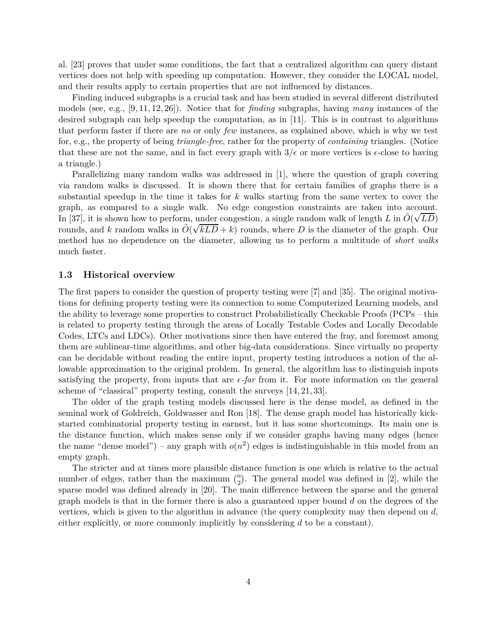al. [23] proves that under some conditions, the fact that a centralized algorithm can query distant vertices does not help with speeding up computation. However, they consider the LOCAL model, and their results apply to certain properties that are not influenced by distances.

Finding induced subgraphs is a crucial task and has been studied in several different distributed models (see, e.g., [9, 11, 12, 26]). Notice that for *finding* subgraphs, having *many* instances of the desired subgraph can help speedup the computation, as in [11]. This is in contrast to algorithms that perform faster if there are *no* or only *few* instances, as explained above, which is why we test for, e.g., the property of being *triangle-free*, rather for the property of *containing* triangles. (Notice that these are not the same, and in fact every graph with  $3/\epsilon$  or more vertices is  $\epsilon$ -close to having a triangle.)

Parallelizing many random walks was addressed in [1], where the question of graph covering via random walks is discussed. It is shown there that for certain families of graphs there is a substantial speedup in the time it takes for *k* walks starting from the same vertex to cover the graph, as compared to a single walk. No edge congestion constraints are taken into account. In [37], it is shown how to perform, under congestion, a single random walk of length *L* in  $\tilde{O}(\sqrt{LD})$ rounds, and *k* random walks in  $\tilde{O}(\sqrt{kLD} + k)$  rounds, where *D* is the diameter of the graph. Our method has no dependence on the diameter, allowing us to perform a multitude of *short walks* much faster.

#### **1.3 Historical overview**

The first papers to consider the question of property testing were [7] and [35]. The original motivations for defining property testing were its connection to some Computerized Learning models, and the ability to leverage some properties to construct Probabilistically Checkable Proofs (PCPs – this is related to property testing through the areas of Locally Testable Codes and Locally Decodable Codes, LTCs and LDCs). Other motivations since then have entered the fray, and foremost among them are sublinear-time algorithms, and other big-data considerations. Since virtually no property can be decidable without reading the entire input, property testing introduces a notion of the allowable approximation to the original problem. In general, the algorithm has to distinguish inputs satisfying the property, from inputs that are  $\epsilon$ -far from it. For more information on the general scheme of "classical" property testing, consult the surveys [14, 21, 33].

The older of the graph testing models discussed here is the dense model, as defined in the seminal work of Goldreich, Goldwasser and Ron [18]. The dense graph model has historically kickstarted combinatorial property testing in earnest, but it has some shortcomings. Its main one is the distance function, which makes sense only if we consider graphs having many edges (hence the name "dense model") – any graph with  $o(n^2)$  edges is indistinguishable in this model from an empty graph.

The stricter and at times more plausible distance function is one which is relative to the actual number of edges, rather than the maximum  $\binom{n}{2}$ . The general model was defined in [2], while the sparse model was defined already in [20]. The main difference between the sparse and the general graph models is that in the former there is also a guaranteed upper bound *d* on the degrees of the vertices, which is given to the algorithm in advance (the query complexity may then depend on *d*, either explicitly, or more commonly implicitly by considering *d* to be a constant).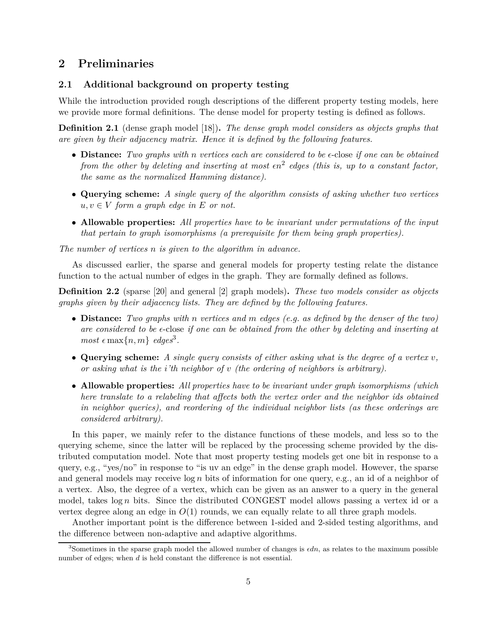# **2 Preliminaries**

### **2.1 Additional background on property testing**

While the introduction provided rough descriptions of the different property testing models, here we provide more formal definitions. The dense model for property testing is defined as follows.

**Definition 2.1** (dense graph model [18])**.** *The dense graph model considers as objects graphs that are given by their adjacency matrix. Hence it is defined by the following features.*

- **Distance:** *Two graphs with n vertices each are considered to be*  $\epsilon$ -close *if one can be obtained from the other by deleting and inserting at most*  $\epsilon n^2$  *edges (this is, up to a constant factor, the same as the normalized Hamming distance).*
- **Querying scheme:** *A single query of the algorithm consists of asking whether two vertices*  $u, v \in V$  *form a graph edge in*  $E$  *or not.*
- **Allowable properties:** *All properties have to be invariant under permutations of the input that pertain to graph isomorphisms (a prerequisite for them being graph properties).*

*The number of vertices n is given to the algorithm in advance.*

As discussed earlier, the sparse and general models for property testing relate the distance function to the actual number of edges in the graph. They are formally defined as follows.

**Definition 2.2** (sparse [20] and general [2] graph models)**.** *These two models consider as objects graphs given by their adjacency lists. They are defined by the following features.*

- **Distance:** *Two graphs with n vertices and m edges (e.g. as defined by the denser of the two) are considered to be*  $\epsilon$ -close *if one can be obtained from the other by deleting and inserting at*  $most \in \max\{n, m\}$  *edges*<sup>3</sup>.
- **Querying scheme:** *A single query consists of either asking what is the degree of a vertex v, or asking what is the i'th neighbor of v (the ordering of neighbors is arbitrary).*
- **Allowable properties:** *All properties have to be invariant under graph isomorphisms (which here translate to a relabeling that affects both the vertex order and the neighbor ids obtained in neighbor queries), and reordering of the individual neighbor lists (as these orderings are considered arbitrary).*

In this paper, we mainly refer to the distance functions of these models, and less so to the querying scheme, since the latter will be replaced by the processing scheme provided by the distributed computation model. Note that most property testing models get one bit in response to a query, e.g., "yes/no" in response to "is uv an edge" in the dense graph model. However, the sparse and general models may receive log *n* bits of information for one query, e.g., an id of a neighbor of a vertex. Also, the degree of a vertex, which can be given as an answer to a query in the general model, takes  $\log n$  bits. Since the distributed CONGEST model allows passing a vertex id or a vertex degree along an edge in *O*(1) rounds, we can equally relate to all three graph models.

Another important point is the difference between 1-sided and 2-sided testing algorithms, and the difference between non-adaptive and adaptive algorithms.

<sup>&</sup>lt;sup>3</sup>Sometimes in the sparse graph model the allowed number of changes is  $\epsilon dn$ , as relates to the maximum possible number of edges; when *d* is held constant the difference is not essential.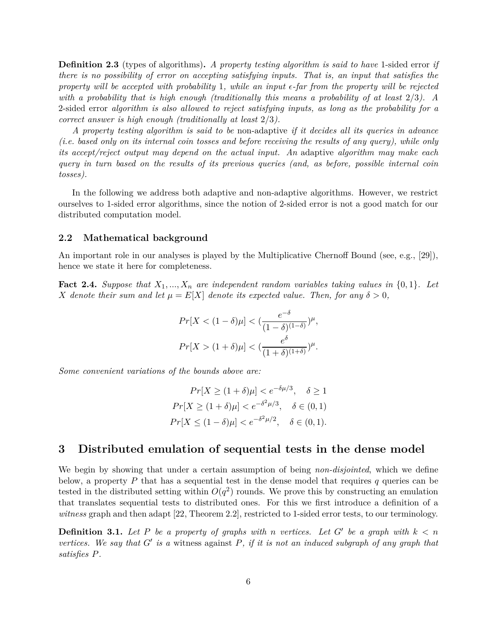**Definition 2.3** (types of algorithms)**.** *A property testing algorithm is said to have* 1-sided error *if there is no possibility of error on accepting satisfying inputs. That is, an input that satisfies the property will be accepted with probability* 1*, while an input*  $\epsilon$ -far from the property will be rejected *with a probability that is high enough (traditionally this means a probability of at least* 2*/*3*). A* 2-sided error *algorithm is also allowed to reject satisfying inputs, as long as the probability for a correct answer is high enough (traditionally at least* 2*/*3*).*

*A property testing algorithm is said to be* non-adaptive *if it decides all its queries in advance (i.e. based only on its internal coin tosses and before receiving the results of any query), while only its accept/reject output may depend on the actual input. An* adaptive *algorithm may make each query in turn based on the results of its previous queries (and, as before, possible internal coin tosses).*

In the following we address both adaptive and non-adaptive algorithms. However, we restrict ourselves to 1-sided error algorithms, since the notion of 2-sided error is not a good match for our distributed computation model.

### **2.2 Mathematical background**

An important role in our analyses is played by the Multiplicative Chernoff Bound (see, e.g., [29]), hence we state it here for completeness.

**Fact 2.4.** *Suppose that*  $X_1, \ldots, X_n$  *are independent random variables taking values in*  $\{0,1\}$ *. Let X* denote their sum and let  $\mu = E[X]$  denote its expected value. Then, for any  $\delta > 0$ ,

$$
Pr[X < (1 - \delta)\mu] < \left(\frac{e^{-\delta}}{(1 - \delta)^{(1 - \delta)}}\right)^{\mu},
$$
  

$$
Pr[X > (1 + \delta)\mu] < \left(\frac{e^{\delta}}{(1 + \delta)^{(1 + \delta)}}\right)^{\mu}.
$$

*Some convenient variations of the bounds above are:*

$$
Pr[X \ge (1+\delta)\mu] < e^{-\delta\mu/3}, \quad \delta \ge 1
$$
\n
$$
Pr[X \ge (1+\delta)\mu] < e^{-\delta^2\mu/3}, \quad \delta \in (0,1)
$$
\n
$$
Pr[X \le (1-\delta)\mu] < e^{-\delta^2\mu/2}, \quad \delta \in (0,1).
$$

### **3 Distributed emulation of sequential tests in the dense model**

We begin by showing that under a certain assumption of being *non-disjointed*, which we define below, a property *P* that has a sequential test in the dense model that requires *q* queries can be tested in the distributed setting within  $O(q^2)$  rounds. We prove this by constructing an emulation that translates sequential tests to distributed ones. For this we first introduce a definition of a *witness* graph and then adapt [22, Theorem 2.2], restricted to 1-sided error tests, to our terminology.

**Definition 3.1.** Let P be a property of graphs with n vertices. Let  $G'$  be a graph with  $k < n$ *vertices. We say that G*′ *is a* witness against *P, if it is not an induced subgraph of any graph that satisfies P.*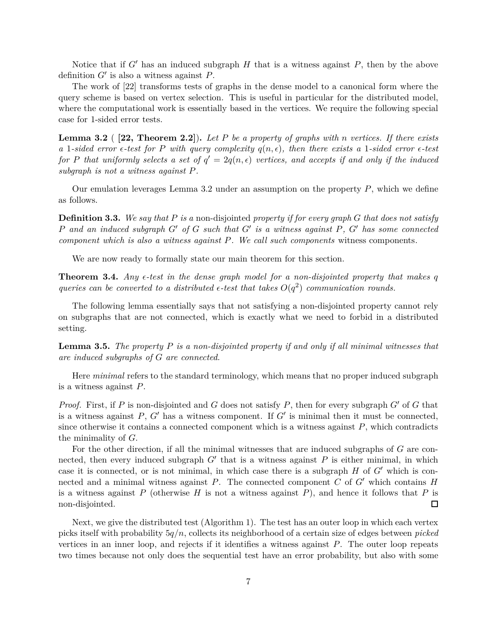Notice that if *G*′ has an induced subgraph *H* that is a witness against *P*, then by the above definition *G*′ is also a witness against *P*.

The work of [22] transforms tests of graphs in the dense model to a canonical form where the query scheme is based on vertex selection. This is useful in particular for the distributed model, where the computational work is essentially based in the vertices. We require the following special case for 1-sided error tests.

**Lemma 3.2** ( **[22, Theorem 2.2]**)**.** *Let P be a property of graphs with n vertices. If there exists a* 1-sided error  $\epsilon$ -test for *P* with query complexity  $q(n, \epsilon)$ , then there exists a 1-sided error  $\epsilon$ -test *for P* that uniformly selects a set of  $q' = 2q(n, \epsilon)$  vertices, and accepts if and only if the induced *subgraph is not a witness against P.*

Our emulation leverages Lemma 3.2 under an assumption on the property *P*, which we define as follows.

**Definition 3.3.** *We say that P is a* non-disjointed *property if for every graph G that does not satisfy P and an induced subgraph G*′ *of G such that G*′ *is a witness against P, G*′ *has some connected component which is also a witness against P. We call such components* witness components*.*

We are now ready to formally state our main theorem for this section.

**Theorem 3.4.** Any  $\epsilon$ -test in the dense graph model for a non-disjointed property that makes q *queries can be converted to a distributed*  $\epsilon$ -test that takes  $O(q^2)$  communication rounds.

The following lemma essentially says that not satisfying a non-disjointed property cannot rely on subgraphs that are not connected, which is exactly what we need to forbid in a distributed setting.

**Lemma 3.5.** *The property P is a non-disjointed property if and only if all minimal witnesses that are induced subgraphs of G are connected.*

Here *minimal* refers to the standard terminology, which means that no proper induced subgraph is a witness against *P*.

*Proof.* First, if *P* is non-disjointed and *G* does not satisfy *P*, then for every subgraph *G*′ of *G* that is a witness against *P*, *G*′ has a witness component. If *G*′ is minimal then it must be connected, since otherwise it contains a connected component which is a witness against *P*, which contradicts the minimality of *G*.

For the other direction, if all the minimal witnesses that are induced subgraphs of *G* are connected, then every induced subgraph *G'* that is a witness against *P* is either minimal, in which case it is connected, or is not minimal, in which case there is a subgraph *H* of *G*′ which is connected and a minimal witness against *P*. The connected component *C* of *G*′ which contains *H* is a witness against  $P$  (otherwise  $H$  is not a witness against  $P$ ), and hence it follows that  $P$  is non-disjointed.  $\Box$ 

Next, we give the distributed test (Algorithm 1). The test has an outer loop in which each vertex picks itself with probability 5*q/n*, collects its neighborhood of a certain size of edges between *picked* vertices in an inner loop, and rejects if it identifies a witness against *P*. The outer loop repeats two times because not only does the sequential test have an error probability, but also with some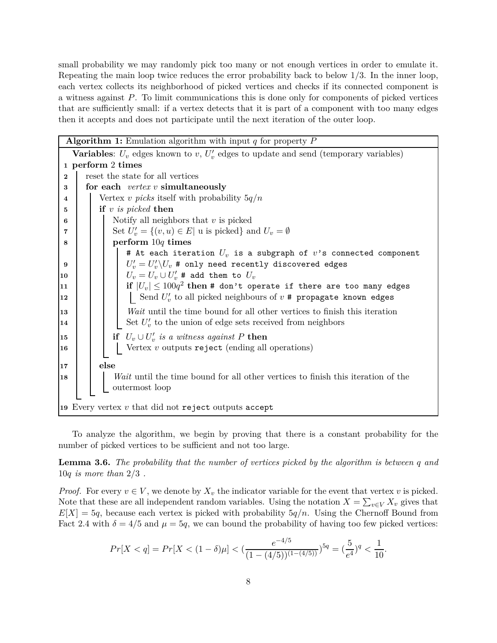small probability we may randomly pick too many or not enough vertices in order to emulate it. Repeating the main loop twice reduces the error probability back to below 1*/*3. In the inner loop, each vertex collects its neighborhood of picked vertices and checks if its connected component is a witness against *P*. To limit communications this is done only for components of picked vertices that are sufficiently small: if a vertex detects that it is part of a component with too many edges then it accepts and does not participate until the next iteration of the outer loop.

|                   | <b>Algorithm 1:</b> Emulation algorithm with input q for property $P$                           |  |  |  |
|-------------------|-------------------------------------------------------------------------------------------------|--|--|--|
|                   | <b>Variables:</b> $U_v$ edges known to v, $U'_v$ edges to update and send (temporary variables) |  |  |  |
| 1 perform 2 times |                                                                                                 |  |  |  |
| $\bf{2}$          | reset the state for all vertices                                                                |  |  |  |
| 3                 | for each $vertex\ v\ simultaneously$                                                            |  |  |  |
| 4                 | Vertex v picks itself with probability $5q/n$                                                   |  |  |  |
| 5                 | if $v$ is picked then                                                                           |  |  |  |
| 6                 | Notify all neighbors that $v$ is picked                                                         |  |  |  |
| 7                 | Set $U'_v = \{(v, u) \in E   u$ is picked and $U_v = \emptyset$                                 |  |  |  |
| 8                 | perform $10q$ times                                                                             |  |  |  |
|                   | # At each iteration $U_v$ is a subgraph of $v$ 's connected component                           |  |  |  |
| 9                 | $U'_v = U'_v \backslash U_v$ # only need recently discovered edges                              |  |  |  |
| 10                | $U_v = U_v \cup U'_v$ # add them to $U_v$                                                       |  |  |  |
| 11                | if $ U_v  \leq 100q^2$ then # don't operate if there are too many edges                         |  |  |  |
| 12                | Send $U'_v$ to all picked neighbours of $v$ # propagate known edges                             |  |  |  |
| 13                | <i>Wait</i> until the time bound for all other vertices to finish this iteration                |  |  |  |
| 14                | Set $U'_v$ to the union of edge sets received from neighbors                                    |  |  |  |
| 15                | <b>if</b> $U_v \cup U'_v$ is a witness against P then                                           |  |  |  |
| 16                | Vertex $v$ outputs $\texttt{reject}$ (ending all operations)                                    |  |  |  |
| 17                | else                                                                                            |  |  |  |
| 18                | Wait until the time bound for all other vertices to finish this iteration of the                |  |  |  |
|                   | outermost loop                                                                                  |  |  |  |
|                   |                                                                                                 |  |  |  |
|                   | 19 Every vertex $v$ that did not reject outputs accept                                          |  |  |  |

To analyze the algorithm, we begin by proving that there is a constant probability for the number of picked vertices to be sufficient and not too large.

**Lemma 3.6.** *The probability that the number of vertices picked by the algorithm is between q and* 10*q is more than* 2*/*3 *.*

*Proof.* For every  $v \in V$ , we denote by  $X_v$  the indicator variable for the event that vertex *v* is picked. Note that these are all independent random variables. Using the notation  $X = \sum_{v \in V} X_v$  gives that  $E[X] = 5q$ , because each vertex is picked with probability  $5q/n$ . Using the Chernoff Bound from Fact 2.4 with  $\delta = 4/5$  and  $\mu = 5q$ , we can bound the probability of having too few picked vertices:

$$
Pr[X < q] = Pr[X < (1 - \delta)\mu] < \left(\frac{e^{-4/5}}{(1 - (4/5))^{(1 - (4/5))}}\right)^{5q} = \left(\frac{5}{e^4}\right)^q < \frac{1}{10}.
$$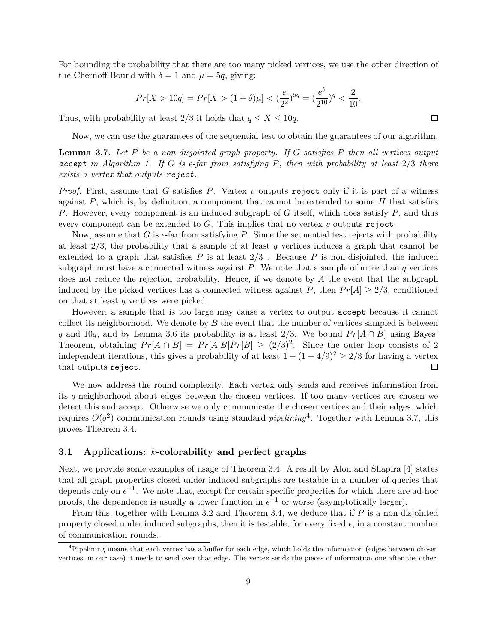For bounding the probability that there are too many picked vertices, we use the other direction of the Chernoff Bound with  $\delta = 1$  and  $\mu = 5q$ , giving:

$$
Pr[X > 10q] = Pr[X > (1 + \delta)\mu] < \left(\frac{e}{2^2}\right)^{5q} = \left(\frac{e^5}{2^{10}}\right)^q < \frac{2}{10}
$$

Thus, with probability at least  $2/3$  it holds that  $q \leq X \leq 10q$ .

Now, we can use the guarantees of the sequential test to obtain the guarantees of our algorithm.

**Lemma 3.7.** *Let P be a non-disjointed graph property. If G satisfies P then all vertices output* **accept** in Algorithm 1. If G is  $\epsilon$ -far from satisfying P, then with probability at least  $2/3$  there *exists a vertex that outputs reject.*

*Proof.* First, assume that *G* satisfies *P*. Vertex *v* outputs reject only if it is part of a witness against *P*, which is, by definition, a component that cannot be extended to some *H* that satisfies *P*. However, every component is an induced subgraph of *G* itself, which does satisfy *P*, and thus every component can be extended to *G*. This implies that no vertex *v* outputs reject.

Now, assume that *G* is  $\epsilon$ -far from satisfying *P*. Since the sequential test rejects with probability at least  $2/3$ , the probability that a sample of at least *q* vertices induces a graph that cannot be extended to a graph that satisfies *P* is at least 2*/*3 . Because *P* is non-disjointed, the induced subgraph must have a connected witness against *P*. We note that a sample of more than *q* vertices does not reduce the rejection probability. Hence, if we denote by *A* the event that the subgraph induced by the picked vertices has a connected witness against *P*, then  $Pr[A] \ge 2/3$ , conditioned on that at least *q* vertices were picked.

However, a sample that is too large may cause a vertex to output accept because it cannot collect its neighborhood. We denote by *B* the event that the number of vertices sampled is between *q* and 10*q*, and by Lemma 3.6 its probability is at least 2/3. We bound  $Pr[A \cap B]$  using Bayes' Theorem, obtaining  $Pr[A \cap B] = Pr[A|B]Pr[B] \ge (2/3)^2$ . Since the outer loop consists of 2 independent iterations, this gives a probability of at least  $1 - (1 - 4/9)^2 \ge 2/3$  for having a vertex that outputs reject. □ that outputs reject.

We now address the round complexity. Each vertex only sends and receives information from its *q*-neighborhood about edges between the chosen vertices. If too many vertices are chosen we detect this and accept. Otherwise we only communicate the chosen vertices and their edges, which requires  $O(q^2)$  communication rounds using standard *pipelining*<sup>4</sup>. Together with Lemma 3.7, this proves Theorem 3.4.

#### **3.1 Applications:** *k***-colorability and perfect graphs**

Next, we provide some examples of usage of Theorem 3.4. A result by Alon and Shapira [4] states that all graph properties closed under induced subgraphs are testable in a number of queries that depends only on  $\epsilon^{-1}$ . We note that, except for certain specific properties for which there are ad-hoc proofs, the dependence is usually a tower function in  $\epsilon^{-1}$  or worse (asymptotically larger).

From this, together with Lemma 3.2 and Theorem 3.4, we deduce that if *P* is a non-disjointed property closed under induced subgraphs, then it is testable, for every fixed  $\epsilon$ , in a constant number of communication rounds.

 $\Box$ 

*.*

 $4P$ ipelining means that each vertex has a buffer for each edge, which holds the information (edges between chosen vertices, in our case) it needs to send over that edge. The vertex sends the pieces of information one after the other.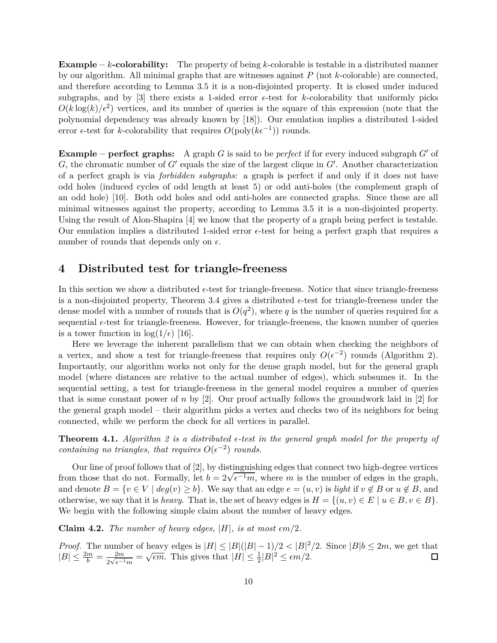**Example –** *k***-colorability:** The property of being *k*-colorable is testable in a distributed manner by our algorithm. All minimal graphs that are witnesses against *P* (not *k*-colorable) are connected, and therefore according to Lemma 3.5 it is a non-disjointed property. It is closed under induced subgraphs, and by [3] there exists a 1-sided error  $\epsilon$ -test for *k*-colorability that uniformly picks  $O(k \log(k)/\epsilon^2)$  vertices, and its number of queries is the square of this expression (note that the polynomial dependency was already known by [18]). Our emulation implies a distributed 1-sided error  $\epsilon$ -test for *k*-colorability that requires  $O(poly(k\epsilon^{-1}))$  rounds.

**Example – perfect graphs:** A graph *G* is said to be *perfect* if for every induced subgraph *G*′ of *G*, the chromatic number of *G*′ equals the size of the largest clique in *G*′ . Another characterization of a perfect graph is via *forbidden subgraphs*: a graph is perfect if and only if it does not have odd holes (induced cycles of odd length at least 5) or odd anti-holes (the complement graph of an odd hole) [10]. Both odd holes and odd anti-holes are connected graphs. Since these are all minimal witnesses against the property, according to Lemma 3.5 it is a non-disjointed property. Using the result of Alon-Shapira [4] we know that the property of a graph being perfect is testable. Our emulation implies a distributed 1-sided error  $\epsilon$ -test for being a perfect graph that requires a number of rounds that depends only on  $\epsilon$ .

# **4 Distributed test for triangle-freeness**

In this section we show a distributed  $\epsilon$ -test for triangle-freeness. Notice that since triangle-freeness is a non-disjointed property, Theorem 3.4 gives a distributed  $\epsilon$ -test for triangle-freeness under the dense model with a number of rounds that is  $O(q^2)$ , where q is the number of queries required for a sequential *ǫ*-test for triangle-freeness. However, for triangle-freeness, the known number of queries is a tower function in  $\log(1/\epsilon)$  [16].

Here we leverage the inherent parallelism that we can obtain when checking the neighbors of a vertex, and show a test for triangle-freeness that requires only  $O(\epsilon^{-2})$  rounds (Algorithm 2). Importantly, our algorithm works not only for the dense graph model, but for the general graph model (where distances are relative to the actual number of edges), which subsumes it. In the sequential setting, a test for triangle-freeness in the general model requires a number of queries that is some constant power of *n* by [2]. Our proof actually follows the groundwork laid in [2] for the general graph model – their algorithm picks a vertex and checks two of its neighbors for being connected, while we perform the check for all vertices in parallel.

**Theorem 4.1.** *Algorithm 2 is a distributed*  $\epsilon$ -test in the general graph model for the property of *containing no triangles, that requires*  $O(\epsilon^{-2})$  *rounds.* 

Our line of proof follows that of [2], by distinguishing edges that connect two high-degree vertices from those that do not. Formally, let  $b = 2\sqrt{\epsilon^{-1}m}$ , where *m* is the number of edges in the graph, and denote  $B = \{v \in V \mid deg(v) \ge b\}$ . We say that an edge  $e = (u, v)$  is *light* if  $v \notin B$  or  $u \notin B$ , and otherwise, we say that it is *heavy*. That is, the set of heavy edges is  $H = \{(u, v) \in E \mid u \in B, v \in B\}$ . We begin with the following simple claim about the number of heavy edges.

**Claim 4.2.** *The number of heavy edges,*  $|H|$ *, is at most*  $\epsilon m/2$ *.* 

*Proof.* The number of heavy edges is  $|H| \leq |B|(|B| - 1)/2 < |B|^2/2$ . Since  $|B|b \leq 2m$ , we get that  $|B| \leq \frac{2m}{b} = \frac{2m}{2\sqrt{\epsilon}}$  $\frac{2m}{2\sqrt{\epsilon^{-1}m}} = \sqrt{\epsilon m}$ . This gives that  $|H| \leq \frac{1}{2}|B|^2 \leq \epsilon m/2$ .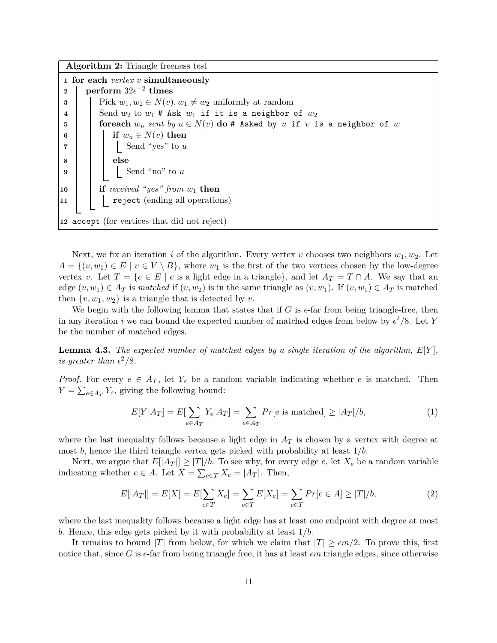**Algorithm 2:** Triangle freeness test

 **for each** *vertex v* **simultaneously**  $2 \left| \right. \ \ \text{perform} \ 32 \epsilon^{-2} \ \text{times}$  Pick  $w_1, w_2 \in N(v), w_1 \neq w_2$  uniformly at random<br>**4** Send  $w_2$  to  $w_1$  **#** Ask  $w_1$  **if it is a neighbor** Send  $w_2$  to  $w_1$  # Ask  $w_1$  if it is a neighbor of  $w_2$  **for each**  $w_u$  *sent*  $by$   $u \in N(v)$  **do** # Asked by  $u$  if  $v$  is a neighbor of  $w$  **6 for if**  $w_u \in N(v)$  **then if**  $w_u \in N(v)$  **then**<br>**7 i** Send "yes" to u Send "yes" to *u* **8 else** | | | Send "no" to *u*  **if** *received "yes" from w*<sup>1</sup> **then** 11 | | reject (ending all operations) accept (for vertices that did not reject)

Next, we fix an iteration *i* of the algorithm. Every vertex *v* chooses two neighbors  $w_1, w_2$ . Let  $A = \{(v, w_1) \in E \mid v \in V \setminus B\}$ , where  $w_1$  is the first of the two vertices chosen by the low-degree vertex *v*. Let  $T = \{e \in E \mid e \text{ is a light edge in a triangle}\},\$  and let  $A_T = T \cap A$ . We say that an edge  $(v, w_1) \in A_T$  is *matched* if  $(v, w_2)$  is in the same triangle as  $(v, w_1)$ . If  $(v, w_1) \in A_T$  is matched then  $\{v, w_1, w_2\}$  is a triangle that is detected by *v*.

We begin with the following lemma that states that if  $G$  is  $\epsilon$ -far from being triangle-free, then in any iteration *i* we can bound the expected number of matched edges from below by  $\epsilon^2/8$ . Let *Y* be the number of matched edges.

**Lemma 4.3.** *The expected number of matched edges by a single iteration of the algorithm, E*[*Y* ]*, is greater than*  $\epsilon^2/8$ *.* 

*Proof.* For every  $e \in A_T$ , let  $Y_e$  be a random variable indicating whether *e* is matched. Then  $Y = \sum_{e \in A_T} Y_e$ , giving the following bound:

$$
E[Y|A_T] = E[\sum_{e \in A_T} Y_e | A_T] = \sum_{e \in A_T} Pr[e \text{ is matched}] \ge |A_T|/b,
$$
\n(1)

where the last inequality follows because a light edge in *A<sup>T</sup>* is chosen by a vertex with degree at most *b*, hence the third triangle vertex gets picked with probability at least 1*/b*.

Next, we argue that  $E[|A_T|] \geq |T|/b$ . To see why, for every edge *e*, let  $X_e$  be a random variable indicating whether  $e \in A$ . Let  $X = \sum_{e \in T} X_e = |A_T|$ . Then,

$$
E[|A_T|] = E[X] = E[\sum_{e \in T} X_e] = \sum_{e \in T} E[X_e] = \sum_{e \in T} Pr[e \in A] \ge |T|/b,
$$
\n(2)

where the last inequality follows because a light edge has at least one endpoint with degree at most *b*. Hence, this edge gets picked by it with probability at least 1*/b*.

It remains to bound |*T*| from below, for which we claim that  $|T| \ge \epsilon m/2$ . To prove this, first notice that, since *G* is  $\epsilon$ -far from being triangle free, it has at least  $\epsilon m$  triangle edges, since otherwise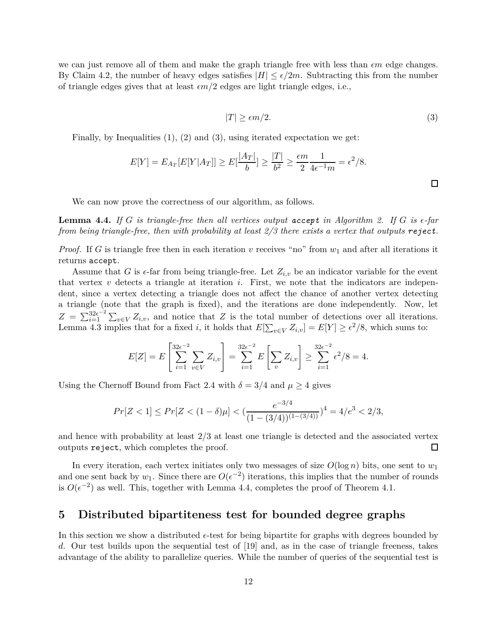we can just remove all of them and make the graph triangle free with less than  $\epsilon m$  edge changes. By Claim 4.2, the number of heavy edges satisfies  $|H| \leq \epsilon/2m$ . Subtracting this from the number of triangle edges gives that at least  $\epsilon m/2$  edges are light triangle edges, i.e.,

$$
|T| \ge \epsilon m/2. \tag{3}
$$

Finally, by Inequalities  $(1)$ ,  $(2)$  and  $(3)$ , using iterated expectation we get:

$$
E[Y] = E_{A_T}[E[Y|A_T]] \ge E[\frac{|A_T|}{b}] \ge \frac{|T|}{b^2} \ge \frac{\epsilon m}{2} \frac{1}{4\epsilon^{-1}m} = \epsilon^2/8.
$$

We can now prove the correctness of our algorithm, as follows.

**Lemma 4.4.** If G is triangle-free then all vertices output  $\text{accept}$  in Algorithm 2. If G is  $\epsilon$ -far *from being triangle-free, then with probability at least 2/3 there exists a vertex that outputs reject.*

*Proof.* If *G* is triangle free then in each iteration *v* receives "no" from *w*<sup>1</sup> and after all iterations it returns accept.

Assume that *G* is  $\epsilon$ -far from being triangle-free. Let  $Z_{i,v}$  be an indicator variable for the event that vertex  $v$  detects a triangle at iteration  $i$ . First, we note that the indicators are independent, since a vertex detecting a triangle does not affect the chance of another vertex detecting a triangle (note that the graph is fixed), and the iterations are done independently. Now, let  $Z = \sum_{i=1}^{32e^{-2}}$  $\sum_{i=1}^{32\epsilon} \sum_{v \in V} Z_{i,v}$ , and notice that *Z* is the total number of detections over all iterations. Lemma 4.3 implies that for a fixed *i*, it holds that  $E[\sum_{v \in V} Z_{i,v}] = E[Y] \ge \frac{\epsilon^2}{8}$ , which sums to:

$$
E[Z] = E\left[\sum_{i=1}^{32e^{-2}} \sum_{v \in V} Z_{i,v}\right] = \sum_{i=1}^{32e^{-2}} E\left[\sum_{v} Z_{i,v}\right] \ge \sum_{i=1}^{32e^{-2}} \epsilon^2/8 = 4.
$$

Using the Chernoff Bound from Fact 2.4 with  $\delta = 3/4$  and  $\mu \ge 4$  gives

$$
Pr[Z < 1] \le Pr[Z < (1 - \delta)\mu] < \left(\frac{e^{-3/4}}{(1 - (3/4))^{(1 - (3/4))}}\right)^4 = 4/e^3 < 2/3,
$$

and hence with probability at least 2*/*3 at least one triangle is detected and the associated vertex outputs reject, which completes the proof.  $\Box$ 

In every iteration, each vertex initiates only two messages of size  $O(\log n)$  bits, one sent to  $w_1$ and one sent back by  $w_1$ . Since there are  $O(\epsilon^{-2})$  iterations, this implies that the number of rounds is  $O(\epsilon^{-2})$  as well. This, together with Lemma 4.4, completes the proof of Theorem 4.1.

### **5 Distributed bipartiteness test for bounded degree graphs**

In this section we show a distributed  $\epsilon$ -test for being bipartite for graphs with degrees bounded by *d*. Our test builds upon the sequential test of [19] and, as in the case of triangle freeness, takes advantage of the ability to parallelize queries. While the number of queries of the sequential test is

 $\Box$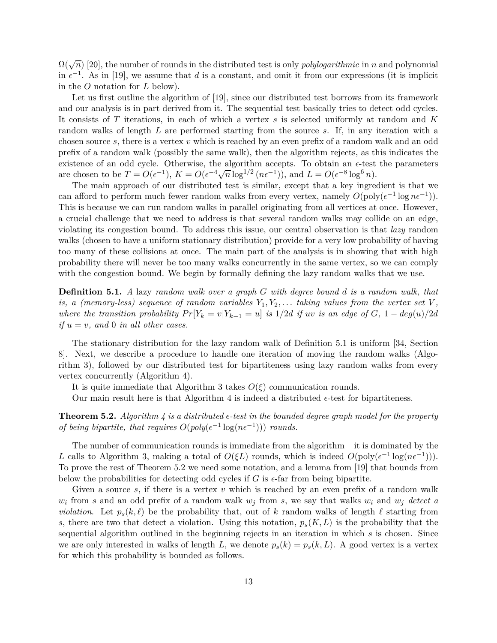$\Omega(\sqrt{n})$  [20], the number of rounds in the distributed test is only *polylogarithmic* in *n* and polynomial in  $\epsilon^{-1}$ . As in [19], we assume that *d* is a constant, and omit it from our expressions (it is implicit in the *O* notation for *L* below).

Let us first outline the algorithm of [19], since our distributed test borrows from its framework and our analysis is in part derived from it. The sequential test basically tries to detect odd cycles. It consists of *T* iterations, in each of which a vertex *s* is selected uniformly at random and *K* random walks of length *L* are performed starting from the source *s*. If, in any iteration with a chosen source *s*, there is a vertex *v* which is reached by an even prefix of a random walk and an odd prefix of a random walk (possibly the same walk), then the algorithm rejects, as this indicates the existence of an odd cycle. Otherwise, the algorithm accepts. To obtain an  $\epsilon$ -test the parameters are chosen to be  $T = O(\epsilon^{-1}), K = O(\epsilon^{-4}\sqrt{n} \log^{1/2}(n\epsilon^{-1})),$  and  $L = O(\epsilon^{-8} \log^6 n)$ .

The main approach of our distributed test is similar, except that a key ingredient is that we can afford to perform much fewer random walks from every vertex, namely  $O(\text{poly}(\epsilon^{-1} \log n\epsilon^{-1}))$ . This is because we can run random walks in parallel originating from all vertices at once. However, a crucial challenge that we need to address is that several random walks may collide on an edge, violating its congestion bound. To address this issue, our central observation is that *lazy* random walks (chosen to have a uniform stationary distribution) provide for a very low probability of having too many of these collisions at once. The main part of the analysis is in showing that with high probability there will never be too many walks concurrently in the same vertex, so we can comply with the congestion bound. We begin by formally defining the lazy random walks that we use.

**Definition 5.1.** *A* lazy *random walk over a graph G with degree bound d is a random walk, that is, a (memory-less) sequence of random variables*  $Y_1, Y_2, \ldots$  *taking values from the vertex set*  $V$ , where the transition probability  $Pr[Y_k = v | Y_{k-1} = u]$  is 1/2d if uv is an edge of G, 1 – deg(u)/2d *if u* = *v, and* 0 *in all other cases.*

The stationary distribution for the lazy random walk of Definition 5.1 is uniform [34, Section 8]. Next, we describe a procedure to handle one iteration of moving the random walks (Algorithm 3), followed by our distributed test for bipartiteness using lazy random walks from every vertex concurrently (Algorithm 4).

It is quite immediate that Algorithm 3 takes  $O(\xi)$  communication rounds.

Our main result here is that Algorithm 4 is indeed a distributed  $\epsilon$ -test for bipartiteness.

**Theorem 5.2.** *Algorithm 4 is a distributed*  $\epsilon$ -test in the bounded degree graph model for the property *of being bipartite, that requires*  $O(poly(\epsilon^{-1} \log(n\epsilon^{-1})))$  *rounds.* 

The number of communication rounds is immediate from the algorithm – it is dominated by the *L* calls to Algorithm 3, making a total of  $O(\xi L)$  rounds, which is indeed  $O(poly(\epsilon^{-1} log(n\epsilon^{-1})))$ . To prove the rest of Theorem 5.2 we need some notation, and a lemma from [19] that bounds from below the probabilities for detecting odd cycles if  $G$  is  $\epsilon$ -far from being bipartite.

Given a source *s*, if there is a vertex *v* which is reached by an even prefix of a random walk *wi* from *s* and an odd prefix of a random walk *w<sup>j</sup>* from *s*, we say that walks *w<sup>i</sup>* and *w<sup>j</sup> detect a violation*. Let  $p_s(k, \ell)$  be the probability that, out of k random walks of length  $\ell$  starting from *s*, there are two that detect a violation. Using this notation,  $p_s(K, L)$  is the probability that the sequential algorithm outlined in the beginning rejects in an iteration in which *s* is chosen. Since we are only interested in walks of length *L*, we denote  $p_s(k) = p_s(k, L)$ . A good vertex is a vertex for which this probability is bounded as follows.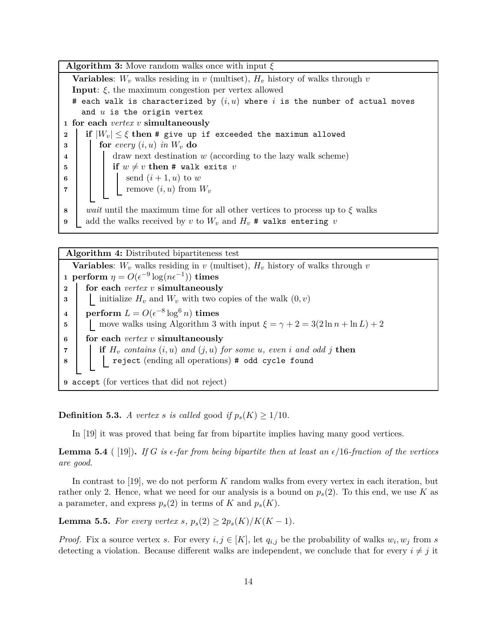**Algorithm 3:** Move random walks once with input *ξ* **Variables:**  $W_v$  walks residing in  $v$  (multiset),  $H_v$  history of walks through  $v$ **Input:**  $\xi$ , the maximum congestion per vertex allowed # each walk is characterized by  $(i, u)$  where  $i$  is the number of actual moves and *u* is the origin vertex **for each** *vertex v* **simultaneously i** if  $|W_v| \leq \xi$  then # give up if exceeded the maximum allowed **for** *every*  $(i, u)$  *in*  $W_v$  **do**   $\vert$  draw next destination *w* (according to the lazy walk scheme)  $\vert$  **if**  $w \neq v$  then # walk exits *v*   $\vert$  **b** send  $(i + 1, u)$  to *w*  **1 remove**  $(i, u)$  from  $W_v$  *wait* until the maximum time for all other vertices to process up to *ξ* walks add the walks received by *v* to  $W_v$  and  $H_v$  # walks entering *v* 

**Algorithm 4:** Distributed bipartiteness test **Variables**:  $W_v$  walks residing in *v* (multiset),  $H_v$  history of walks through *v*  **perform**  $\eta = O(\epsilon^{-9} \log(n \epsilon^{-1}))$  **times for each** *vertex v* **simultaneously** initialize  $H_v$  and  $W_v$  with two copies of the walk  $(0, v)$  $\textbf{4}$  **perform**  $L = O(\epsilon^{-8} \log^6 n) \textbf{ times}$  move walks using Algorithm 3 with input  $\xi = \gamma + 2 = 3(2 \ln n + \ln L) + 2$  **for each** *vertex v* **simultaneously if** *H<sup>v</sup> contains* (*i, u*) *and* (*j, u*) *for some u, even i and odd j* **then i i** reject (ending all operations) # odd cycle found accept (for vertices that did not reject)

**Definition 5.3.** *A vertex s is called* good *if*  $p_s(K) \geq 1/10$ *.* 

In [19] it was proved that being far from bipartite implies having many good vertices.

**Lemma 5.4** ( [19]). If *G* is  $\epsilon$ -far from being bipartite then at least an  $\epsilon/16$ -fraction of the vertices *are good.*

In contrast to [19], we do not perform *K* random walks from every vertex in each iteration, but rather only 2. Hence, what we need for our analysis is a bound on *ps*(2). To this end, we use *K* as a parameter, and express  $p_s(2)$  in terms of *K* and  $p_s(K)$ .

**Lemma 5.5.** For every vertex  $s, p_s(2) \geq 2p_s(K)/K(K-1)$ .

*Proof.* Fix a source vertex *s*. For every  $i, j \in [K]$ , let  $q_{i,j}$  be the probability of walks  $w_i, w_j$  from *s* detecting a violation. Because different walks are independent, we conclude that for every  $i \neq j$  it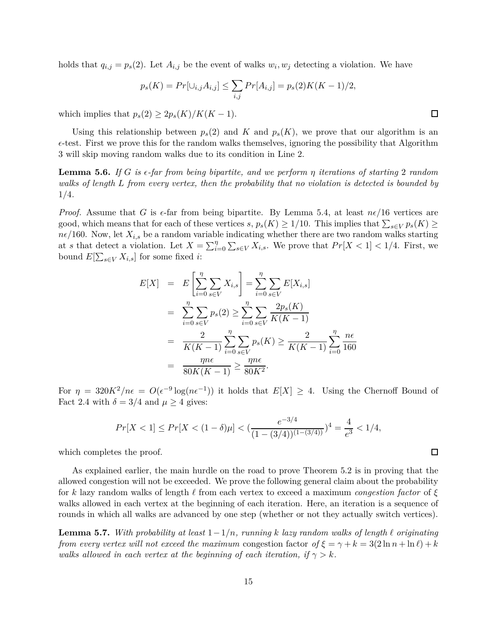holds that  $q_{i,j} = p_s(2)$ . Let  $A_{i,j}$  be the event of walks  $w_i, w_j$  detecting a violation. We have

$$
p_s(K) = Pr[\cup_{i,j} A_{i,j}] \le \sum_{i,j} Pr[A_{i,j}] = p_s(2)K(K-1)/2,
$$

which implies that  $p_s(2) \geq 2p_s(K)/K(K-1)$ .

Using this relationship between  $p_s(2)$  and  $K$  and  $p_s(K)$ , we prove that our algorithm is an  $\epsilon$ -test. First we prove this for the random walks themselves, ignoring the possibility that Algorithm 3 will skip moving random walks due to its condition in Line 2.

**Lemma 5.6.** *If G is*  $\epsilon$ *-far from being bipartite, and we perform η <i>iterations of starting* 2 *random walks of length L from every vertex, then the probability that no violation is detected is bounded by* 1*/*4*.*

*Proof.* Assume that *G* is  $\epsilon$ -far from being bipartite. By Lemma 5.4, at least  $n\epsilon/16$  vertices are good, which means that for each of these vertices  $s, p_s(K) \geq 1/10$ . This implies that  $\sum_{s \in V} p_s(K) \geq$  $n\epsilon/160$ . Now, let  $X_{i,s}$  be a random variable indicating whether there are two random walks starting at *s* that detect a violation. Let  $X = \sum_{i=0}^{n} \sum_{s \in V} X_{i,s}$ . We prove that  $Pr[X < 1] < 1/4$ . First, we bound  $E[\sum_{s \in V} X_{i,s}]$  for some fixed *i*:

$$
E[X] = E\left[\sum_{i=0}^{n} \sum_{s \in V} X_{i,s}\right] = \sum_{i=0}^{n} \sum_{s \in V} E[X_{i,s}]
$$
  
= 
$$
\sum_{i=0}^{n} \sum_{s \in V} p_s(2) \ge \sum_{i=0}^{n} \sum_{s \in V} \frac{2p_s(K)}{K(K-1)}
$$
  
= 
$$
\frac{2}{K(K-1)} \sum_{i=0}^{n} \sum_{s \in V} p_s(K) \ge \frac{2}{K(K-1)} \sum_{i=0}^{n} \frac{n\epsilon}{160}
$$
  
= 
$$
\frac{m\epsilon}{80K(K-1)} \ge \frac{m\epsilon}{80K^2}.
$$

For  $\eta = 320K^2/n\epsilon = O(\epsilon^{-9}\log(n\epsilon^{-1}))$  it holds that  $E[X] \geq 4$ . Using the Chernoff Bound of Fact 2.4 with  $\delta = 3/4$  and  $\mu \geq 4$  gives:

$$
Pr[X < 1] \le Pr[X < (1 - \delta)\mu] < \left(\frac{e^{-3/4}}{(1 - (3/4))^{(1 - (3/4))}}\right)^4 = \frac{4}{e^3} < 1/4,
$$

which completes the proof.

As explained earlier, the main hurdle on the road to prove Theorem 5.2 is in proving that the allowed congestion will not be exceeded. We prove the following general claim about the probability for *k* lazy random walks of length *ℓ* from each vertex to exceed a maximum *congestion factor* of *ξ* walks allowed in each vertex at the beginning of each iteration. Here, an iteration is a sequence of rounds in which all walks are advanced by one step (whether or not they actually switch vertices).

**Lemma 5.7.** *With probability at least* 1−1*/n, running k lazy random walks of length ℓ originating from every vertex will not exceed the maximum congestion factor of*  $\xi = \gamma + k = 3(2 \ln n + \ln \ell) + k$ *walks allowed in each vertex at the beginning of each iteration, if*  $\gamma > k$ *.* 

 $\Box$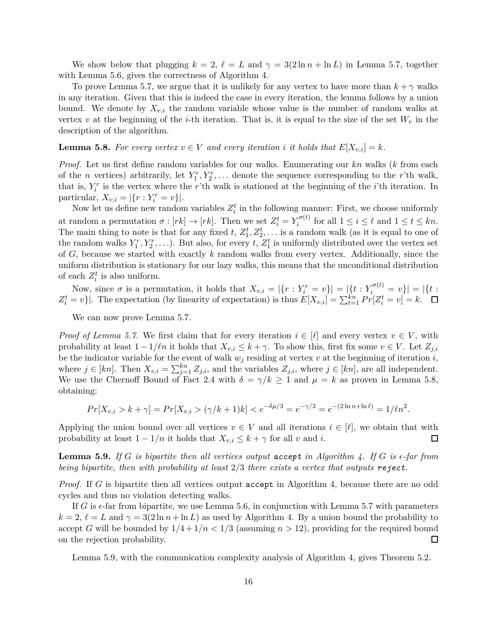We show below that plugging  $k = 2$ ,  $\ell = L$  and  $\gamma = 3(2 \ln n + \ln L)$  in Lemma 5.7, together with Lemma 5.6, gives the correctness of Algorithm 4.

To prove Lemma 5.7, we argue that it is unlikely for any vertex to have more than  $k + \gamma$  walks in any iteration. Given that this is indeed the case in every iteration, the lemma follows by a union bound. We denote by  $X_{v,i}$  the random variable whose value is the number of random walks at vertex *v* at the beginning of the *i*-th iteration. That is, it is equal to the size of the set  $W_v$  in the description of the algorithm.

**Lemma 5.8.** For every vertex  $v \in V$  and every iteration *i* it holds that  $E[X_{v,i}] = k$ .

*Proof.* Let us first define random variables for our walks. Enumerating our *kn* walks (*k* from each of the *n* vertices) arbitrarily, let  $Y_1^r, Y_2^r, \ldots$  denote the sequence corresponding to the *r*'th walk, that is,  $Y_i^r$  is the vertex where the *r*'th walk is stationed at the beginning of the *i*'th iteration. In particular,  $X_{v,i} = |\{r : Y_i^r = v\}|.$ 

Now let us define new random variables  $Z_i^t$  in the following manner: First, we choose uniformly at random a permutation  $\sigma : [rk] \to [rk]$ . Then we set  $Z_i^t = Y_i^{\sigma(t)}$  $i^{o(t)}$  for all  $1 \leq i \leq \ell$  and  $1 \leq t \leq kn$ . The main thing to note is that for any fixed  $t, Z_1^t, Z_2^t, \ldots$  is a random walk (as it is equal to one of the random walks  $Y_1^r, Y_2^r, \ldots$ ). But also, for every *t*,  $Z_1^t$  is uniformly distributed over the vertex set of *G*, because we started with exactly *k* random walks from every vertex. Additionally, since the uniform distribution is stationary for our lazy walks, this means that the unconditional distribution of each  $Z_i^t$  is also uniform.

Now, since *σ* is a permutation, it holds that  $X_{v,i} = |\{r : Y_i^r = v\}| = |\{t : Y_i^{\sigma(t)} = v\}| = |\{t : Y_i^{\sigma(t)} = v\}|$  $Z_i^t = v$ }. The expectation (by linearity of expectation) is thus  $E[X_{v,i}] = \sum_{t=1}^{kn} Pr[Z_i^t = v] = k$ .

We can now prove Lemma 5.7.

*Proof of Lemma 5.7.* We first claim that for every iteration  $i \in [\ell]$  and every vertex  $v \in V$ , with probability at least  $1 - 1/\ell n$  it holds that  $X_{v,i} \leq k + \gamma$ . To show this, first fix some  $v \in V$ . Let  $Z_{j,i}$ be the indicator variable for the event of walk  $w_j$  residing at vertex  $v$  at the beginning of iteration  $i$ , where  $j \in [kn]$ . Then  $X_{v,i} = \sum_{j=1}^{kn} Z_{j,i}$ , and the variables  $Z_{j,i}$ , where  $j \in [kn]$ , are all independent. We use the Chernoff Bound of Fact 2.4 with  $\delta = \gamma/k \ge 1$  and  $\mu = k$  as proven in Lemma 5.8, obtaining:

$$
Pr[X_{v,i} > k + \gamma] = Pr[X_{v,i} > (\gamma/k + 1)k] < e^{-\delta\mu/3} = e^{-\gamma/3} = e^{-(2\ln n + \ln \ell)} = 1/\ell n^2.
$$

Applying the union bound over all vertices  $v \in V$  and all iterations  $i \in [\ell]$ , we obtain that with probability at least  $1 - 1/n$  it holds that  $X_v$ ,  $\leq k + \gamma$  for all v and i. probability at least  $1 - 1/n$  it holds that  $X_{v,i} \leq k + \gamma$  for all *v* and *i*.

**Lemma 5.9.** *If G is bipartite then all vertices output* **accept** *in Algorithm 4. If G is*  $\epsilon$ -*far from being bipartite, then with probability at least* 2*/*3 *there exists a vertex that outputs reject.*

*Proof.* If *G* is bipartite then all vertices output accept in Algorithm 4, because there are no odd cycles and thus no violation detecting walks.

If  $G$  is  $\epsilon$ -far from bipartite, we use Lemma 5.6, in conjunction with Lemma 5.7 with parameters  $k = 2$ ,  $\ell = L$  and  $\gamma = 3(2 \ln n + \ln L)$  as used by Algorithm 4. By a union bound the probability to accept *G* will be bounded by  $1/4 + 1/n < 1/3$  (assuming  $n > 12$ ), providing for the required bound on the rejection probability.  $\Box$ 

Lemma 5.9, with the communication complexity analysis of Algorithm 4, gives Theorem 5.2.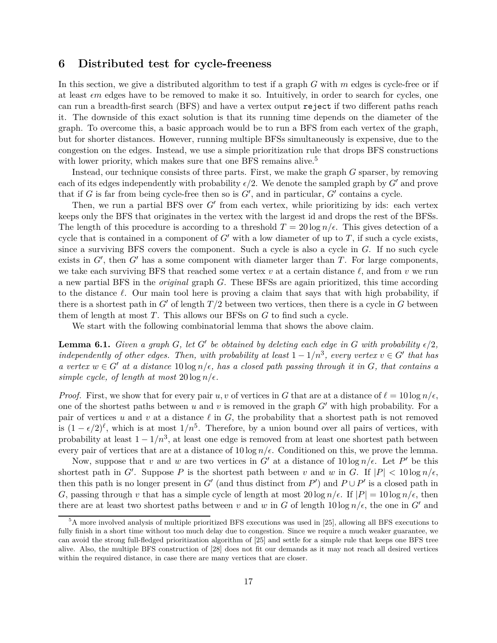# **6 Distributed test for cycle-freeness**

In this section, we give a distributed algorithm to test if a graph *G* with *m* edges is cycle-free or if at least  $\epsilon m$  edges have to be removed to make it so. Intuitively, in order to search for cycles, one can run a breadth-first search (BFS) and have a vertex output reject if two different paths reach it. The downside of this exact solution is that its running time depends on the diameter of the graph. To overcome this, a basic approach would be to run a BFS from each vertex of the graph, but for shorter distances. However, running multiple BFSs simultaneously is expensive, due to the congestion on the edges. Instead, we use a simple prioritization rule that drops BFS constructions with lower priority, which makes sure that one BFS remains alive.<sup>5</sup>

Instead, our technique consists of three parts. First, we make the graph *G* sparser, by removing each of its edges independently with probability  $\epsilon/2$ . We denote the sampled graph by  $G'$  and prove that if *G* is far from being cycle-free then so is  $G'$ , and in particular,  $G'$  contains a cycle.

Then, we run a partial BFS over G' from each vertex, while prioritizing by ids: each vertex keeps only the BFS that originates in the vertex with the largest id and drops the rest of the BFSs. The length of this procedure is according to a threshold  $T = 20 \log n/\epsilon$ . This gives detection of a cycle that is contained in a component of  $G'$  with a low diameter of up to  $T$ , if such a cycle exists, since a surviving BFS covers the component. Such a cycle is also a cycle in *G*. If no such cycle exists in *G*′ , then *G*′ has a some component with diameter larger than *T*. For large components, we take each surviving BFS that reached some vertex *v* at a certain distance *ℓ*, and from *v* we run a new partial BFS in the *original* graph *G*. These BFSs are again prioritized, this time according to the distance *ℓ*. Our main tool here is proving a claim that says that with high probability, if there is a shortest path in  $G'$  of length  $T/2$  between two vertices, then there is a cycle in  $G$  between them of length at most *T*. This allows our BFSs on *G* to find such a cycle.

We start with the following combinatorial lemma that shows the above claim.

**Lemma 6.1.** *Given a graph G, let G*<sup> $\prime$ </sup> *be obtained by deleting each edge in G with probability*  $\epsilon/2$ *,*  $\mathbf{i}$  *independently of other edges. Then, with probability at least*  $1 - 1/n^3$ , every vertex  $v \in G'$  that has *a vertex*  $w ∈ G'$  *at a distance* 10 log  $n/€$ *, has a closed path passing through it in*  $G$ *, that contains a simple cycle, of length at most*  $20 \log n/\epsilon$ .

*Proof.* First, we show that for every pair  $u, v$  of vertices in *G* that are at a distance of  $\ell = 10 \log n/\epsilon$ , one of the shortest paths between *u* and *v* is removed in the graph *G*′ with high probability. For a pair of vertices *u* and *v* at a distance  $\ell$  in *G*, the probability that a shortest path is not removed is  $(1 - \epsilon/2)^{\ell}$ , which is at most  $1/n^5$ . Therefore, by a union bound over all pairs of vertices, with probability at least  $1 - 1/n^3$ , at least one edge is removed from at least one shortest path between every pair of vertices that are at a distance of  $10 \log n/\epsilon$ . Conditioned on this, we prove the lemma.

Now, suppose that *v* and *w* are two vertices in *G'* at a distance of  $10 \log n/\epsilon$ . Let *P'* be this shortest path in *G'*. Suppose *P* is the shortest path between *v* and *w* in *G*. If  $|P| < 10 \log n/\epsilon$ , then this path is no longer present in *G*<sup> $\prime$ </sup> (and thus distinct from *P*<sup> $\prime$ </sup>) and *P* ∪ *P*<sup> $\prime$ </sup> is a closed path in *G*, passing through *v* that has a simple cycle of length at most  $20 \log n/\epsilon$ . If  $|P| = 10 \log n/\epsilon$ , then there are at least two shortest paths between *v* and *w* in *G* of length 10 log  $n/\epsilon$ , the one in *G'* and

<sup>5</sup>A more involved analysis of multiple prioritized BFS executions was used in [25], allowing all BFS executions to fully finish in a short time without too much delay due to congestion. Since we require a much weaker guarantee, we can avoid the strong full-fledged prioritization algorithm of [25] and settle for a simple rule that keeps one BFS tree alive. Also, the multiple BFS construction of [28] does not fit our demands as it may not reach all desired vertices within the required distance, in case there are many vertices that are closer.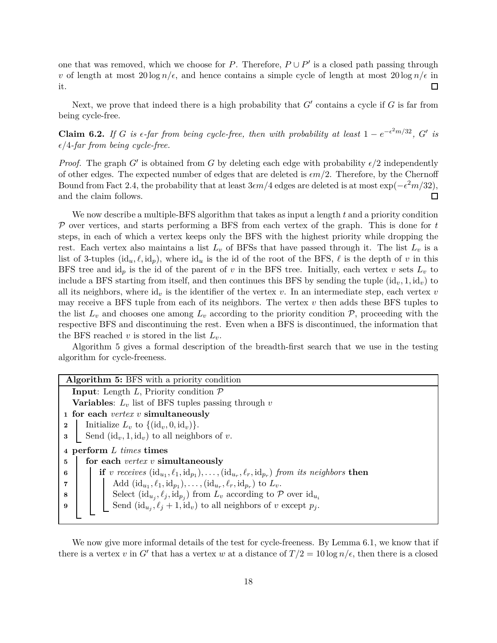one that was removed, which we choose for *P*. Therefore,  $P \cup P'$  is a closed path passing through *v* of length at most  $20 \log n/\epsilon$ , and hence contains a simple cycle of length at most  $20 \log n/\epsilon$  in  $\Box$ it.

Next, we prove that indeed there is a high probability that *G'* contains a cycle if *G* is far from being cycle-free.

**Claim 6.2.** *If G is*  $\epsilon$ -*far from being cycle-free, then with probability at least*  $1 - e^{-\epsilon^2 m/32}$ ,  $G'$  *is*  $\epsilon/4$ -far from being cycle-free.

*Proof.* The graph *G*<sup> $\prime$ </sup> is obtained from *G* by deleting each edge with probability  $\epsilon/2$  independently of other edges. The expected number of edges that are deleted is *ǫm/*2. Therefore, by the Chernoff Bound from Fact 2.4, the probability that at least  $3\epsilon m/4$  edges are deleted is at most  $\exp(-\epsilon^2 m/32)$ , and the claim follows.  $\Box$ 

We now describe a multiple-BFS algorithm that takes as input a length *t* and a priority condition P over vertices, and starts performing a BFS from each vertex of the graph. This is done for *t* steps, in each of which a vertex keeps only the BFS with the highest priority while dropping the rest. Each vertex also maintains a list  $L_v$  of BFSs that have passed through it. The list  $L_v$  is a list of 3-tuples  $(id_u, \ell, id_p)$ , where  $id_u$  is the id of the root of the BFS,  $\ell$  is the depth of  $v$  in this BFS tree and  $\mathrm{id}_p$  is the id of the parent of *v* in the BFS tree. Initially, each vertex *v* sets  $L_v$  to include a BFS starting from itself, and then continues this BFS by sending the tuple  $(id_v, 1, id_v)$  to all its neighbors, where  $\mathrm{id}_v$  is the identifier of the vertex  $v$ . In an intermediate step, each vertex  $v$ may receive a BFS tuple from each of its neighbors. The vertex *v* then adds these BFS tuples to the list  $L_v$  and chooses one among  $L_v$  according to the priority condition  $P$ , proceeding with the respective BFS and discontinuing the rest. Even when a BFS is discontinued, the information that the BFS reached  $v$  is stored in the list  $L_v$ .

Algorithm 5 gives a formal description of the breadth-first search that we use in the testing algorithm for cycle-freeness.

| Algorithm 5: BFS with a priority condition                                                                                  |  |  |
|-----------------------------------------------------------------------------------------------------------------------------|--|--|
| <b>Input:</b> Length L, Priority condition $\mathcal{P}$                                                                    |  |  |
| <b>Variables:</b> $L_v$ list of BFS tuples passing through v                                                                |  |  |
| 1 for each <i>vertex</i> $v$ simultaneously                                                                                 |  |  |
| Initialize $L_v$ to $\{(\mathrm{id}_v, 0, \mathrm{id}_v)\}.$<br>$\boldsymbol{2}$                                            |  |  |
| Send $(id_v, 1, id_v)$ to all neighbors of v.<br>$3^{\circ}$                                                                |  |  |
| 4 perform L times times                                                                                                     |  |  |
| for each <i>vertex</i> $v$ simultaneously<br>$\mathbf{5}$                                                                   |  |  |
| if v receives $(id_{u_1}, \ell_1, id_{p_1}), \ldots, (id_{u_r}, \ell_r, id_{p_r})$ from its neighbors then<br>6             |  |  |
| Add $(id_{u_1}, \ell_1, id_{v_1}), \ldots, (id_{u_r}, \ell_r, id_{v_r})$ to $L_v$ .<br>$\overline{7}$                       |  |  |
| Select $(\mathrm{id}_{u_i}, \ell_j, \mathrm{id}_{p_i})$ from $L_v$ according to $\mathcal P$ over $\mathrm{id}_{u_i}$<br>-8 |  |  |
| Send $(id_{u_i}, \ell_i + 1, id_v)$ to all neighbors of v except $p_i$ .<br>9                                               |  |  |
|                                                                                                                             |  |  |

We now give more informal details of the test for cycle-freeness. By Lemma 6.1, we know that if there is a vertex *v* in *G*<sup> $\prime$ </sup> that has a vertex *w* at a distance of  $T/2 = 10 \log n/\epsilon$ , then there is a closed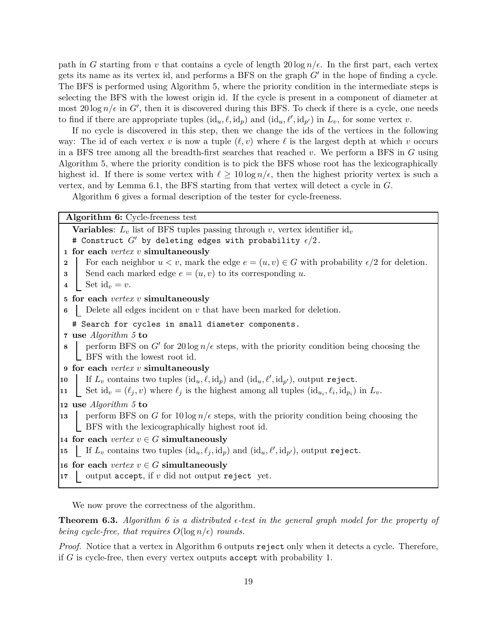path in *G* starting from *v* that contains a cycle of length  $20 \log n/\epsilon$ . In the first part, each vertex gets its name as its vertex id, and performs a BFS on the graph *G*′ in the hope of finding a cycle. The BFS is performed using Algorithm 5, where the priority condition in the intermediate steps is selecting the BFS with the lowest origin id. If the cycle is present in a component of diameter at most  $20 \log n/\epsilon$  in  $G'$ , then it is discovered during this BFS. To check if there is a cycle, one needs to find if there are appropriate tuples  $(\mathrm{id}_u, \ell, \mathrm{id}_p)$  and  $(\mathrm{id}_u, \ell', \mathrm{id}_{p'})$  in  $L_v$ , for some vertex  $v$ .

If no cycle is discovered in this step, then we change the ids of the vertices in the following way: The id of each vertex *v* is now a tuple  $(\ell, v)$  where  $\ell$  is the largest depth at which *v* occurs in a BFS tree among all the breadth-first searches that reached *v*. We perform a BFS in *G* using Algorithm 5, where the priority condition is to pick the BFS whose root has the lexicographically highest id. If there is some vertex with  $\ell \geq 10 \log n/\epsilon$ , then the highest priority vertex is such a vertex, and by Lemma 6.1, the BFS starting from that vertex will detect a cycle in *G*.

Algorithm 6 gives a formal description of the tester for cycle-freeness.

**Algorithm 6:** Cycle-freeness test **Variables:**  $L_v$  list of BFS tuples passing through  $v$ , vertex identifier  $id_v$ # Construct  $G'$  by deleting edges with probability  $\epsilon/2$ . **for each** *vertex v* **simultaneously** For each neighbor  $u < v$ , mark the edge  $e = (u, v) \in G$  with probability  $\epsilon/2$  for deletion. Send each marked edge  $e = (u, v)$  to its corresponding *u*. Set  $\mathrm{id}_v = v$ . **for each** *vertex v* **simultaneously** Delete all edges incident on *v* that have been marked for deletion. # Search for cycles in small diameter components. **use** *Algorithm 5* **to** perform BFS on G' for  $20 \log n/\epsilon$  steps, with the priority condition being choosing the BFS with the lowest root id. **for each** *vertex v* **simultaneously** If  $L_v$  contains two tuples  $(\mathrm{id}_u, \ell, \mathrm{id}_p)$  and  $(\mathrm{id}_u, \ell', \mathrm{id}_{p'})$ , output reject. Set  $\mathrm{id}_v = (\ell_j, v)$  where  $\ell_j$  is the highest among all tuples  $(\mathrm{id}_{u_i}, \ell_i, \mathrm{id}_{p_i})$  in  $L_v$ . **use** *Algorithm 5* **to** perform BFS on *G* for 10 log  $n/\epsilon$  steps, with the priority condition being choosing the BFS with the lexicographically highest root id. **for each** *vertex*  $v \in G$  **simultaneously**<br>**15**  $\left| \text{ If } L_v \text{ contains two tuples } (\text{id}_u, \ell_i, \text{id}_v)) \right|$  If  $L_v$  contains two tuples  $(\mathrm{id}_u, \ell_j, \mathrm{id}_p)$  and  $(\mathrm{id}_u, \ell', \mathrm{id}_{p'}),$  output reject. **for each** *vertex*  $v \in G$  **simultaneously**<br>**17**  $\vert$  **output accept**, if *v* did not output **r** output accept, if *v* did not output reject yet.

We now prove the correctness of the algorithm.

**Theorem 6.3.** *Algorithm 6 is a distributed*  $\epsilon$ -test in the general graph model for the property of *being cycle-free, that requires*  $O(\log n/\epsilon)$  *rounds.* 

*Proof.* Notice that a vertex in Algorithm 6 outputs reject only when it detects a cycle. Therefore, if *G* is cycle-free, then every vertex outputs accept with probability 1.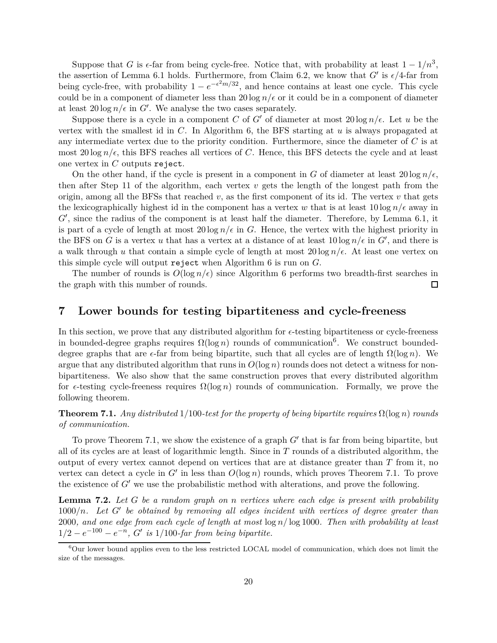Suppose that *G* is  $\epsilon$ -far from being cycle-free. Notice that, with probability at least  $1 - 1/n^3$ , the assertion of Lemma 6.1 holds. Furthermore, from Claim 6.2, we know that  $G'$  is  $\epsilon/4$ -far from being cycle-free, with probability  $1 - e^{-\epsilon^2 m/32}$ , and hence contains at least one cycle. This cycle could be in a component of diameter less than  $20 \log n/\epsilon$  or it could be in a component of diameter at least  $20 \log n / \epsilon$  in G'. We analyse the two cases separately.

Suppose there is a cycle in a component *C* of *G'* of diameter at most  $20 \log n/\epsilon$ . Let *u* be the vertex with the smallest id in *C*. In Algorithm 6, the BFS starting at *u* is always propagated at any intermediate vertex due to the priority condition. Furthermore, since the diameter of *C* is at most  $20 \log n / \epsilon$ , this BFS reaches all vertices of *C*. Hence, this BFS detects the cycle and at least one vertex in *C* outputs reject.

On the other hand, if the cycle is present in a component in *G* of diameter at least  $20 \log n/\epsilon$ , then after Step 11 of the algorithm, each vertex  $v$  gets the length of the longest path from the origin, among all the BFSs that reached  $v$ , as the first component of its id. The vertex  $v$  that gets the lexicographically highest id in the component has a vertex *w* that is at least  $10 \log n/\epsilon$  away in *G*′ , since the radius of the component is at least half the diameter. Therefore, by Lemma 6.1, it is part of a cycle of length at most  $20 \log n/\epsilon$  in *G*. Hence, the vertex with the highest priority in the BFS on *G* is a vertex *u* that has a vertex at a distance of at least  $10 \log n/\epsilon$  in *G'*, and there is a walk through *u* that contain a simple cycle of length at most  $20 \log n/\epsilon$ . At least one vertex on this simple cycle will output reject when Algorithm 6 is run on *G*.

The number of rounds is  $O(\log n/\epsilon)$  since Algorithm 6 performs two breadth-first searches in the graph with this number of rounds.  $\Box$ 

# **7 Lower bounds for testing bipartiteness and cycle-freeness**

In this section, we prove that any distributed algorithm for  $\epsilon$ -testing bipartiteness or cycle-freeness in bounded-degree graphs requires  $\Omega(\log n)$  rounds of communication<sup>6</sup>. We construct boundeddegree graphs that are  $\epsilon$ -far from being bipartite, such that all cycles are of length  $\Omega(\log n)$ . We argue that any distributed algorithm that runs in  $O(\log n)$  rounds does not detect a witness for nonbipartiteness. We also show that the same construction proves that every distributed algorithm for  $\epsilon$ -testing cycle-freeness requires  $\Omega(\log n)$  rounds of communication. Formally, we prove the following theorem.

**Theorem 7.1.** *Any distributed*  $1/100$ *-test for the property of being bipartite requires*  $\Omega(\log n)$  *rounds of communication.*

To prove Theorem 7.1, we show the existence of a graph *G*′ that is far from being bipartite, but all of its cycles are at least of logarithmic length. Since in *T* rounds of a distributed algorithm, the output of every vertex cannot depend on vertices that are at distance greater than *T* from it, no vertex can detect a cycle in *G*′ in less than *O*(log *n*) rounds, which proves Theorem 7.1. To prove the existence of *G*′ we use the probabilistic method with alterations, and prove the following.

**Lemma 7.2.** *Let G be a random graph on n vertices where each edge is present with probability* 1000*/n. Let G*′ *be obtained by removing all edges incident with vertices of degree greater than* 2000*, and one edge from each cycle of length at most* log *n/* log 1000*. Then with probability at least*  $1/2 - e^{-100} - e^{-n}$ , *G'* is  $1/100$ -far from being bipartite.

 ${}^{6}$ Our lower bound applies even to the less restricted LOCAL model of communication, which does not limit the size of the messages.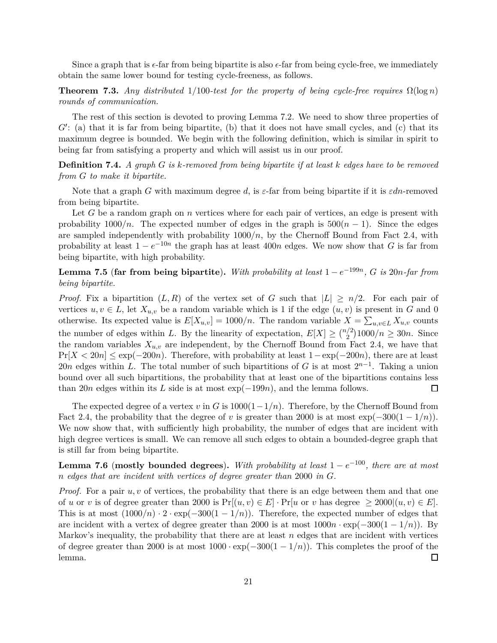Since a graph that is  $\epsilon$ -far from being bipartite is also  $\epsilon$ -far from being cycle-free, we immediately obtain the same lower bound for testing cycle-freeness, as follows.

**Theorem 7.3.** *Any distributed*  $1/100$ *-test for the property of being cycle-free requires*  $\Omega(\log n)$ *rounds of communication.*

The rest of this section is devoted to proving Lemma 7.2. We need to show three properties of *G*<sup>'</sup>: (a) that it is far from being bipartite, (b) that it does not have small cycles, and (c) that its maximum degree is bounded. We begin with the following definition, which is similar in spirit to being far from satisfying a property and which will assist us in our proof.

**Definition 7.4.** *A graph G is k-removed from being bipartite if at least k edges have to be removed from G to make it bipartite.*

Note that a graph *G* with maximum degree *d*, is *ε*-far from being bipartite if it is *εdn*-removed from being bipartite.

Let *G* be a random graph on *n* vertices where for each pair of vertices, an edge is present with probability  $1000/n$ . The expected number of edges in the graph is  $500(n-1)$ . Since the edges are sampled independently with probability 1000*/n*, by the Chernoff Bound from Fact 2.4, with probability at least  $1 - e^{-10n}$  the graph has at least 400*n* edges. We now show that *G* is far from being bipartite, with high probability.

**Lemma 7.5** (far from being bipartite). With probability at least  $1 - e^{-199n}$ , *G* is 20*n*-far from *being bipartite.*

*Proof.* Fix a bipartition  $(L, R)$  of the vertex set of *G* such that  $|L| \geq n/2$ . For each pair of vertices  $u, v \in L$ , let  $X_{u,v}$  be a random variable which is 1 if the edge  $(u, v)$  is present in *G* and 0 otherwise. Its expected value is  $E[X_{u,v}] = 1000/n$ . The random variable  $X = \sum_{u,v \in L} X_{u,v}$  counts the number of edges within *L*. By the linearity of expectation,  $E[X] \geq {n/2 \choose 2}1000/n \geq 30n$ . Since the random variables  $X_{u,v}$  are independent, by the Chernoff Bound from Fact 2.4, we have that Pr[*X <* 20*n*] ≤ exp(−200*n*). Therefore, with probability at least 1−exp(−200*n*), there are at least 20*n* edges within *L*. The total number of such bipartitions of *G* is at most 2*n*−<sup>1</sup> . Taking a union bound over all such bipartitions, the probability that at least one of the bipartitions contains less than 20*n* edges within its *L* side is at most  $\exp(-199n)$ , and the lemma follows.  $\Box$ 

The expected degree of a vertex *v* in *G* is  $1000(1-1/n)$ . Therefore, by the Chernoff Bound from Fact 2.4, the probability that the degree of *v* is greater than 2000 is at most  $\exp(-300(1-1/n))$ . We now show that, with sufficiently high probability, the number of edges that are incident with high degree vertices is small. We can remove all such edges to obtain a bounded-degree graph that is still far from being bipartite.

**Lemma 7.6** (mostly bounded degrees). With probability at least  $1 - e^{-100}$ , there are at most *n edges that are incident with vertices of degree greater than* 2000 *in G.*

*Proof.* For a pair  $u, v$  of vertices, the probability that there is an edge between them and that one of *u* or *v* is of degree greater than 2000 is  $Pr[(u, v) \in E] \cdot Pr[u \text{ or } v \text{ has degree } \geq 2000 | (u, v) \in E].$ This is at most  $(1000/n) \cdot 2 \cdot \exp(-300(1 - 1/n))$ . Therefore, the expected number of edges that are incident with a vertex of degree greater than 2000 is at most 1000*n* · exp(−300(1 − 1*/n*)). By Markov's inequality, the probability that there are at least *n* edges that are incident with vertices of degree greater than 2000 is at most  $1000 \cdot \exp(-300(1 - 1/n))$ . This completes the proof of the lemma. □ lemma.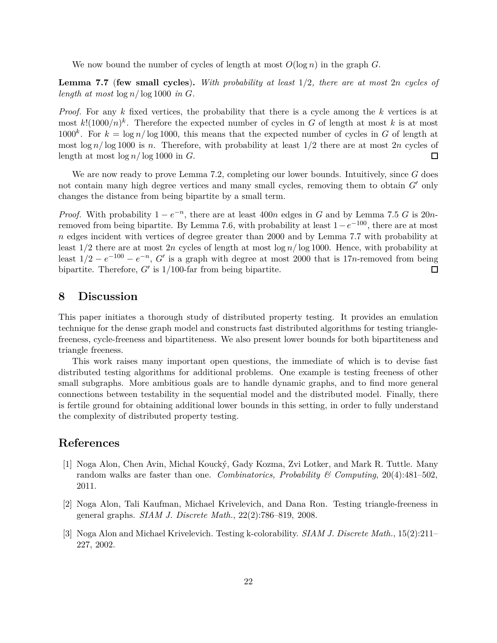We now bound the number of cycles of length at most  $O(\log n)$  in the graph *G*.

**Lemma 7.7** (**few small cycles**)**.** *With probability at least* 1*/*2*, there are at most* 2*n cycles of length at most*  $\log n / \log 1000$  *in G*.

*Proof.* For any *k* fixed vertices, the probability that there is a cycle among the *k* vertices is at most  $k!(1000/n)^k$ . Therefore the expected number of cycles in *G* of length at most *k* is at most 1000<sup>k</sup>. For  $k = \log n / \log 1000$ , this means that the expected number of cycles in *G* of length at most  $\log n / \log 1000$  is *n*. Therefore, with probability at least  $1/2$  there are at most  $2n$  cycles of length at most log *n/* log 1000 in *G*.  $\Box$ 

We are now ready to prove Lemma 7.2, completing our lower bounds. Intuitively, since *G* does not contain many high degree vertices and many small cycles, removing them to obtain *G*′ only changes the distance from being bipartite by a small term.

*Proof.* With probability  $1 - e^{-n}$ , there are at least 400*n* edges in *G* and by Lemma 7.5 *G* is 20*n*removed from being bipartite. By Lemma 7.6, with probability at least  $1-e^{-100}$ , there are at most *n* edges incident with vertices of degree greater than 2000 and by Lemma 7.7 with probability at least  $1/2$  there are at most  $2n$  cycles of length at most  $\log n / \log 1000$ . Hence, with probability at least  $1/2 - e^{-100} - e^{-n}$ , *G*' is a graph with degree at most 2000 that is 17*n*-removed from being bipartite. Therefore, *G*′ is 1*/*100-far from being bipartite.  $\Box$ 

# **8 Discussion**

This paper initiates a thorough study of distributed property testing. It provides an emulation technique for the dense graph model and constructs fast distributed algorithms for testing trianglefreeness, cycle-freeness and bipartiteness. We also present lower bounds for both bipartiteness and triangle freeness.

This work raises many important open questions, the immediate of which is to devise fast distributed testing algorithms for additional problems. One example is testing freeness of other small subgraphs. More ambitious goals are to handle dynamic graphs, and to find more general connections between testability in the sequential model and the distributed model. Finally, there is fertile ground for obtaining additional lower bounds in this setting, in order to fully understand the complexity of distributed property testing.

# **References**

- [1] Noga Alon, Chen Avin, Michal Koucký, Gady Kozma, Zvi Lotker, and Mark R. Tuttle. Many random walks are faster than one. *Combinatorics, Probability & Computing*, 20(4):481–502, 2011.
- [2] Noga Alon, Tali Kaufman, Michael Krivelevich, and Dana Ron. Testing triangle-freeness in general graphs. *SIAM J. Discrete Math.*, 22(2):786–819, 2008.
- [3] Noga Alon and Michael Krivelevich. Testing k-colorability. *SIAM J. Discrete Math.*, 15(2):211– 227, 2002.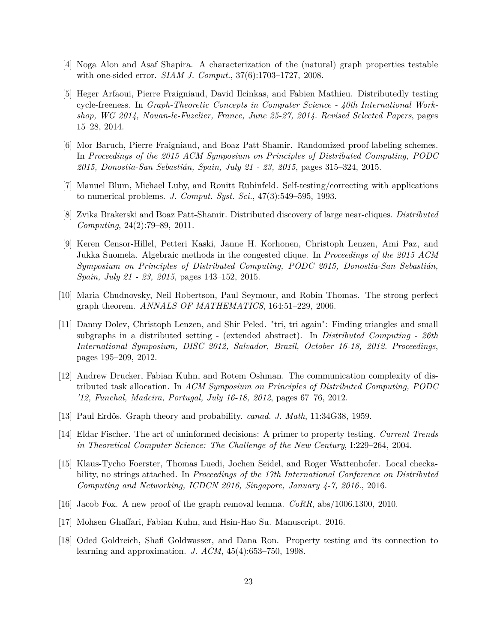- [4] Noga Alon and Asaf Shapira. A characterization of the (natural) graph properties testable with one-sided error. *SIAM J. Comput.*, 37(6):1703–1727, 2008.
- [5] Heger Arfaoui, Pierre Fraigniaud, David Ilcinkas, and Fabien Mathieu. Distributedly testing cycle-freeness. In *Graph-Theoretic Concepts in Computer Science - 40th International Workshop, WG 2014, Nouan-le-Fuzelier, France, June 25-27, 2014. Revised Selected Papers*, pages 15–28, 2014.
- [6] Mor Baruch, Pierre Fraigniaud, and Boaz Patt-Shamir. Randomized proof-labeling schemes. In *Proceedings of the 2015 ACM Symposium on Principles of Distributed Computing, PODC 2015, Donostia-San Sebastián, Spain, July 21 - 23, 2015*, pages 315–324, 2015.
- [7] Manuel Blum, Michael Luby, and Ronitt Rubinfeld. Self-testing/correcting with applications to numerical problems. *J. Comput. Syst. Sci.*, 47(3):549–595, 1993.
- [8] Zvika Brakerski and Boaz Patt-Shamir. Distributed discovery of large near-cliques. *Distributed Computing*, 24(2):79–89, 2011.
- [9] Keren Censor-Hillel, Petteri Kaski, Janne H. Korhonen, Christoph Lenzen, Ami Paz, and Jukka Suomela. Algebraic methods in the congested clique. In *Proceedings of the 2015 ACM Symposium on Principles of Distributed Computing, PODC 2015, Donostia-San Sebastián, Spain, July 21 - 23, 2015*, pages 143–152, 2015.
- [10] Maria Chudnovsky, Neil Robertson, Paul Seymour, and Robin Thomas. The strong perfect graph theorem. *ANNALS OF MATHEMATICS*, 164:51–229, 2006.
- [11] Danny Dolev, Christoph Lenzen, and Shir Peled. "tri, tri again": Finding triangles and small subgraphs in a distributed setting - (extended abstract). In *Distributed Computing - 26th International Symposium, DISC 2012, Salvador, Brazil, October 16-18, 2012. Proceedings*, pages 195–209, 2012.
- [12] Andrew Drucker, Fabian Kuhn, and Rotem Oshman. The communication complexity of distributed task allocation. In *ACM Symposium on Principles of Distributed Computing, PODC '12, Funchal, Madeira, Portugal, July 16-18, 2012*, pages 67–76, 2012.
- [13] Paul Erdös. Graph theory and probability. *canad. J. Math*, 11:34G38, 1959.
- [14] Eldar Fischer. The art of uninformed decisions: A primer to property testing. *Current Trends in Theoretical Computer Science: The Challenge of the New Century*, I:229–264, 2004.
- [15] Klaus-Tycho Foerster, Thomas Luedi, Jochen Seidel, and Roger Wattenhofer. Local checkability, no strings attached. In *Proceedings of the 17th International Conference on Distributed Computing and Networking, ICDCN 2016, Singapore, January 4-7, 2016.*, 2016.
- [16] Jacob Fox. A new proof of the graph removal lemma. *CoRR*, abs/1006.1300, 2010.
- [17] Mohsen Ghaffari, Fabian Kuhn, and Hsin-Hao Su. Manuscript. 2016.
- [18] Oded Goldreich, Shafi Goldwasser, and Dana Ron. Property testing and its connection to learning and approximation. *J. ACM*, 45(4):653–750, 1998.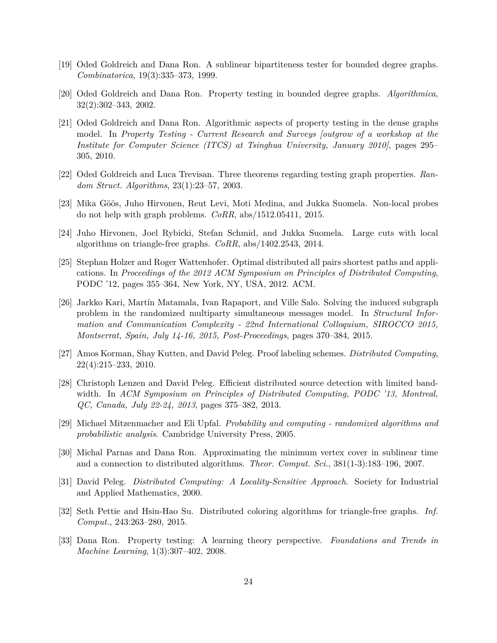- [19] Oded Goldreich and Dana Ron. A sublinear bipartiteness tester for bounded degree graphs. *Combinatorica*, 19(3):335–373, 1999.
- [20] Oded Goldreich and Dana Ron. Property testing in bounded degree graphs. *Algorithmica*, 32(2):302–343, 2002.
- [21] Oded Goldreich and Dana Ron. Algorithmic aspects of property testing in the dense graphs model. In *Property Testing - Current Research and Surveys [outgrow of a workshop at the Institute for Computer Science (ITCS) at Tsinghua University, January 2010]*, pages 295– 305, 2010.
- [22] Oded Goldreich and Luca Trevisan. Three theorems regarding testing graph properties. *Random Struct. Algorithms*, 23(1):23–57, 2003.
- [23] Mika Göös, Juho Hirvonen, Reut Levi, Moti Medina, and Jukka Suomela. Non-local probes do not help with graph problems. *CoRR*, abs/1512.05411, 2015.
- [24] Juho Hirvonen, Joel Rybicki, Stefan Schmid, and Jukka Suomela. Large cuts with local algorithms on triangle-free graphs. *CoRR*, abs/1402.2543, 2014.
- [25] Stephan Holzer and Roger Wattenhofer. Optimal distributed all pairs shortest paths and applications. In *Proceedings of the 2012 ACM Symposium on Principles of Distributed Computing*, PODC '12, pages 355–364, New York, NY, USA, 2012. ACM.
- [26] Jarkko Kari, Martín Matamala, Ivan Rapaport, and Ville Salo. Solving the induced subgraph problem in the randomized multiparty simultaneous messages model. In *Structural Information and Communication Complexity - 22nd International Colloquium, SIROCCO 2015, Montserrat, Spain, July 14-16, 2015, Post-Proceedings*, pages 370–384, 2015.
- [27] Amos Korman, Shay Kutten, and David Peleg. Proof labeling schemes. *Distributed Computing*, 22(4):215–233, 2010.
- [28] Christoph Lenzen and David Peleg. Efficient distributed source detection with limited bandwidth. In *ACM Symposium on Principles of Distributed Computing, PODC '13, Montreal, QC, Canada, July 22-24, 2013*, pages 375–382, 2013.
- [29] Michael Mitzenmacher and Eli Upfal. *Probability and computing randomized algorithms and probabilistic analysis*. Cambridge University Press, 2005.
- [30] Michal Parnas and Dana Ron. Approximating the minimum vertex cover in sublinear time and a connection to distributed algorithms. *Theor. Comput. Sci.*, 381(1-3):183–196, 2007.
- [31] David Peleg. *Distributed Computing: A Locality-Sensitive Approach*. Society for Industrial and Applied Mathematics, 2000.
- [32] Seth Pettie and Hsin-Hao Su. Distributed coloring algorithms for triangle-free graphs. *Inf. Comput.*, 243:263–280, 2015.
- [33] Dana Ron. Property testing: A learning theory perspective. *Foundations and Trends in Machine Learning*, 1(3):307–402, 2008.